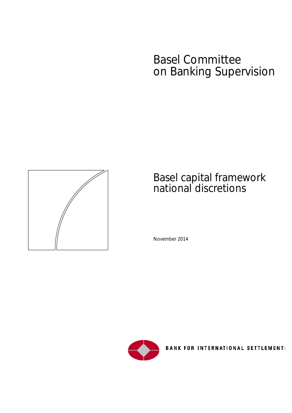# Basel Committee on Banking Supervision



# Basel capital framework national discretions

November 2014



**BANK FOR INTERNATIONAL SETTLEMENT:**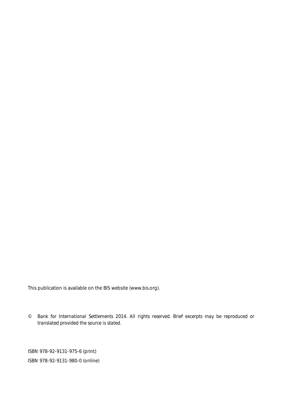This publication is available on the BIS website [\(www.bis.org\)](http://www.bis.org/).

*© Bank for International Settlements 2014. All rights reserved. Brief excerpts may be reproduced or translated provided the source is stated.*

ISBN 978-92-9131-975-6 (print) ISBN 978-92-9131-980-0 (online)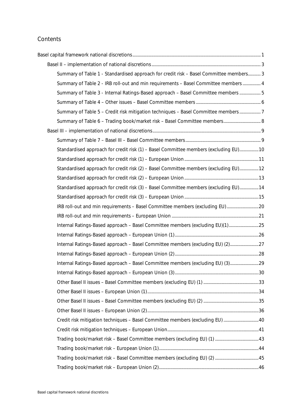### **Contents**

| Summary of Table 1 - Standardised approach for credit risk - Basel Committee members 3 |  |
|----------------------------------------------------------------------------------------|--|
| Summary of Table 2 - IRB roll-out and min requirements - Basel Committee members  4    |  |
| Summary of Table 3 - Internal Ratings-Based approach - Basel Committee members  5      |  |
|                                                                                        |  |
| Summary of Table 5 - Credit risk mitigation techniques - Basel Committee members 7     |  |
|                                                                                        |  |
|                                                                                        |  |
|                                                                                        |  |
| Standardised approach for credit risk (1) - Basel Committee members (excluding EU) 10  |  |
|                                                                                        |  |
| Standardised approach for credit risk (2) - Basel Committee members (excluding EU) 12  |  |
|                                                                                        |  |
| Standardised approach for credit risk (3) - Basel Committee members (excluding EU) 14  |  |
|                                                                                        |  |
| IRB roll-out and min requirements - Basel Committee members (excluding EU)20           |  |
|                                                                                        |  |
| Internal Ratings-Based approach - Basel Committee members (excluding EU)(1)25          |  |
|                                                                                        |  |
| Internal Ratings-Based approach - Basel Committee members (excluding EU) (2)27         |  |
|                                                                                        |  |
| Internal Ratings-Based approach - Basel Committee members (excluding EU) (3)29         |  |
|                                                                                        |  |
|                                                                                        |  |
|                                                                                        |  |
|                                                                                        |  |
|                                                                                        |  |
| Credit risk mitigation techniques - Basel Committee members (excluding EU)  40         |  |
|                                                                                        |  |
|                                                                                        |  |
|                                                                                        |  |
|                                                                                        |  |
|                                                                                        |  |
|                                                                                        |  |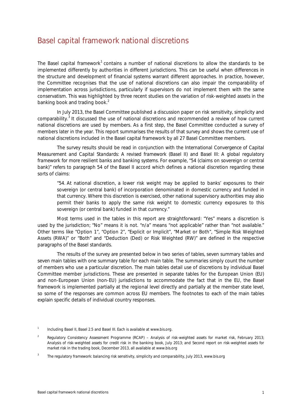## <span id="page-4-0"></span>Basel capital framework national discretions

The Basel capital framework<sup>[1](#page-4-1)</sup> contains a number of national discretions to allow the standards to be implemented differently by authorities in different jurisdictions. This can be useful when differences in the structure and development of financial systems warrant different approaches. In practice, however, the Committee recognises that the use of national discretions can also impair the comparability of implementation across jurisdictions, particularly if supervisors do not implement them with the same conservatism. This was highlighted by three recent studies on the variation of risk-weighted assets in the banking book and trading book.<sup>[2](#page-4-2)</sup>

In July 2013, the Basel Committee published a discussion paper on risk sensitivity, simplicity and comparability.<sup>[3](#page-4-3)</sup> It discussed the use of national discretions and recommended a review of how current national discretions are used by members. As a first step, the Basel Committee conducted a survey of members later in the year. This report summarises the results of that survey and shows the current use of national discretions included in the Basel capital framework by all 27 Basel Committee members.

The survey results should be read in conjunction with the *International Convergence of Capital Measurement and Capital Standards: A revised framework* (Basel II) and *Basel III: A global regulatory framework for more resilient banks and banking systems*. For example, "54 (claims on sovereign or central bank)" refers to paragraph 54 of the Basel II accord which defines a national discretion regarding these sorts of claims:

"54. At national discretion, a lower risk weight may be applied to banks' exposures to their sovereign (or central bank) of incorporation denominated in domestic currency and funded in that currency. Where this discretion is exercised, other national supervisory authorities may also permit their banks to apply the same risk weight to domestic currency exposures to this sovereign (or central bank) funded in that currency."

Most terms used in the tables in this report are straightforward: "Yes" means a discretion is used by the jurisdiction; "No" means it is not. "n/a" means "not applicable" rather than "not available." Other terms like "Option 1", "Option 2", "Explicit or Implicit", "Market or Both", "Simple Risk Weighted Assets (RWA)" or "Both" and "Deduction (Ded) or Risk Weighted (RW)" are defined in the respective paragraphs of the Basel standards.

The results of the survey are presented below in two series of tables, seven summary tables and seven main tables with one summary table for each main table. The summaries simply count the number of members who use a particular discretion. The main tables detail use of discretions by individual Basel Committee member jurisdictions. These are presented in separate tables for the European Union (EU) and non-European Union (non-EU) jurisdictions to accommodate the fact that in the EU, the Basel framework is implemented partially at the regional level directly and partially at the member state level, so some of the responses are common across EU members. The footnotes to each of the main tables explain specific details of individual country responses.

<span id="page-4-1"></span><sup>1</sup> Including Basel II, Basel 2.5 and Basel III. Each is available at www.bis.org.

<span id="page-4-2"></span><sup>2</sup> *Regulatory Consistency Assessment Programme (RCAP) – Analysis of risk-weighted assets for market risk*, February 2013; *Analysis of risk-weighted assets for credit risk in the banking book*, July 2013; and *Second report on risk-weighted assets for market risk in the trading book*, December 2013, all available at www.bis.org

<span id="page-4-3"></span><sup>3</sup> *The regulatory framework: balancing risk sensitivity, simplicity and comparability*, July 2013, www.bis.org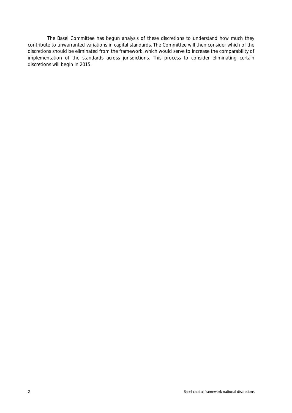The Basel Committee has begun analysis of these discretions to understand how much they contribute to unwarranted variations in capital standards. The Committee will then consider which of the discretions should be eliminated from the framework, which would serve to increase the comparability of implementation of the standards across jurisdictions. This process to consider eliminating certain discretions will begin in 2015.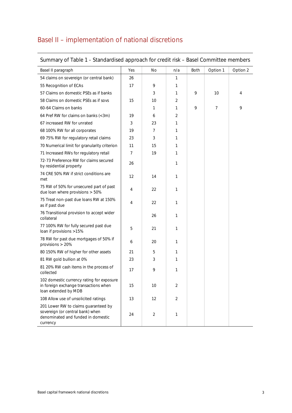## <span id="page-6-0"></span>Basel II – implementation of national discretions

| $50$ and $\mu$ of table to standardised approach for clear how base committee members                                      |     |                |                |      |          |          |
|----------------------------------------------------------------------------------------------------------------------------|-----|----------------|----------------|------|----------|----------|
| Basel II paragraph                                                                                                         | Yes | <b>No</b>      | n/a            | Both | Option 1 | Option 2 |
| 54 claims on sovereign (or central bank)                                                                                   | 26  |                | 1              |      |          |          |
| 55 Recognition of ECAs                                                                                                     | 17  | 9              | 1              |      |          |          |
| 57 Claims on domestic PSEs as if banks                                                                                     |     | 3              | 1              | 9    | 10       | 4        |
| 58 Claims on domestic PSEs as if sovs                                                                                      | 15  | 10             | 2              |      |          |          |
| 60-64 Claims on banks                                                                                                      |     | $\mathbf{1}$   | 1              | 9    | 7        | 9        |
| 64 Pref RW for claims on banks (<3m)                                                                                       | 19  | 6              | 2              |      |          |          |
| 67 increased RW for unrated                                                                                                | 3   | 23             | 1              |      |          |          |
| 68 100% RW for all corporates                                                                                              | 19  | $\overline{7}$ | 1              |      |          |          |
| 69 75% RW for regulatory retail claims                                                                                     | 23  | 3              | 1              |      |          |          |
| 70 Numerical limit for granularity criterion                                                                               | 11  | 15             | 1              |      |          |          |
| 71 Increased RWs for regulatory retail                                                                                     | 7   | 19             | 1              |      |          |          |
| 72-73 Preference RW for claims secured<br>by residential property                                                          | 26  |                | 1              |      |          |          |
| 74 CRE 50% RW if strict conditions are<br>met                                                                              | 12  | 14             | 1              |      |          |          |
| 75 RW of 50% for unsecured part of past<br>due loan where provisions > 50%                                                 | 4   | 22             | 1              |      |          |          |
| 75 Treat non-past due loans RW at 150%<br>as if past due                                                                   | 4   | 22             | 1              |      |          |          |
| 76 Transitional provision to accept wider<br>collateral                                                                    |     | 26             | 1              |      |          |          |
| 77 100% RW for fully secured past due<br>loan if provisions >15%                                                           | 5   | 21             | 1              |      |          |          |
| 78 RW for past due mortgages of 50% if<br>provisions > 20%                                                                 | 6   | 20             | 1              |      |          |          |
| 80 150% RW of higher for other assets                                                                                      | 21  | 5              | 1              |      |          |          |
| 81 RW gold bullion at 0%                                                                                                   | 23  | 3              | 1              |      |          |          |
| 81 20% RW cash items in the process of<br>collected                                                                        | 17  | 9              | 1              |      |          |          |
| 102 domestic currency rating for exposure<br>in foreign exchange transactions when<br>loan extended by MDB                 | 15  | 10             | $\overline{2}$ |      |          |          |
| 108 Allow use of unsolicited ratings                                                                                       | 13  | 12             | 2              |      |          |          |
| 201 Lower RW to claims guaranteed by<br>sovereign (or central bank) when<br>denominated and funded in domestic<br>currency | 24  | $\overline{2}$ | 1              |      |          |          |

### <span id="page-6-1"></span>Summary of Table 1 - Standardised approach for credit risk – Basel Committee members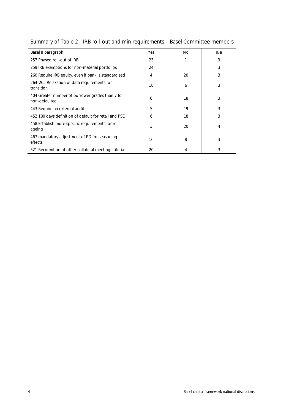| Basel II paragraph                                                | Yes | No. | n/a |
|-------------------------------------------------------------------|-----|-----|-----|
| 257 Phased roll-out of IRB                                        | 23  |     | 3   |
| 259 IRB exemptions for non-material portfolios                    | 24  |     | 3   |
| 260 Require IRB equity, even if bank is standardised              | 4   | 20  | 3   |
| 264-265 Relaxation of data requirements for<br>transition         | 18  | 6   | 3   |
| 404 Greater number of borrower grades than 7 for<br>non-defaulted | 6   | 18  | 3   |
| 443 Require an external audit                                     | 5   | 19  | 3   |
| 452 180 days definition of default for retail and PSE             | 6   | 18  | 3   |
| 458 Establish more specific requirements for re-<br>ageing        | 3   | 20  | 4   |
| 467 mandatory adjustment of PD for seasoning<br>effects           | 16  | 8   | 3   |
| 521 Recognition of other collateral meeting criteria              | 20  | 4   | 3   |

## <span id="page-7-0"></span>Summary of Table 2 - IRB roll-out and min requirements – Basel Committee members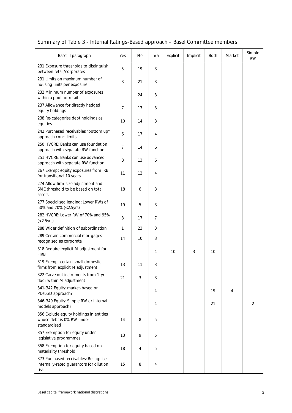<span id="page-8-0"></span>

|  | Summary of Table 3 - Internal Ratings-Based approach - Basel Committee members |  |
|--|--------------------------------------------------------------------------------|--|
|  |                                                                                |  |

| Basel II paragraph                                                                       | Yes | No. | n/a | Explicit | Implicit | Both | Market | Simple<br><b>RW</b> |
|------------------------------------------------------------------------------------------|-----|-----|-----|----------|----------|------|--------|---------------------|
| 231 Exposure thresholds to distinguish<br>between retail/corporates                      | 5   | 19  | 3   |          |          |      |        |                     |
| 231 Limits on maximum number of<br>housing units per exposure                            | 3   | 21  | 3   |          |          |      |        |                     |
| 232 Minimum number of exposures<br>within a pool for retail                              |     | 24  | 3   |          |          |      |        |                     |
| 237 Allowance for directly hedged<br>equity holdings                                     | 7   | 17  | 3   |          |          |      |        |                     |
| 238 Re-categorise debt holdings as<br>equities                                           | 10  | 14  | 3   |          |          |      |        |                     |
| 242 Purchased receivables "bottom up"<br>approach conc. limits                           | 6   | 17  | 4   |          |          |      |        |                     |
| 250 HVCRE: Banks can use foundation<br>approach with separate RW function                | 7   | 14  | 6   |          |          |      |        |                     |
| 251 HVCRE: Banks can use advanced<br>approach with separate RW function                  | 8   | 13  | 6   |          |          |      |        |                     |
| 267 Exempt equity exposures from IRB<br>for transitional 10 years                        | 11  | 12  | 4   |          |          |      |        |                     |
| 274 Allow firm-size adjustment and<br>SME threshold to be based on total<br>assets       | 18  | 6   | 3   |          |          |      |        |                     |
| 277 Specialised lending: Lower RWs of<br>50% and 70% (<2.5yrs)                           | 19  | 5   | 3   |          |          |      |        |                     |
| 282 HVCRE: Lower RW of 70% and 95%<br>(<2.5yrs)                                          | 3   | 17  | 7   |          |          |      |        |                     |
| 288 Wider definition of subordination                                                    | 1   | 23  | 3   |          |          |      |        |                     |
| 289 Certain commercial mortgages<br>recognised as corporate                              | 14  | 10  | 3   |          |          |      |        |                     |
| 318 Require explicit M adjustment for<br><b>FIRB</b>                                     |     |     | 4   | 10       | 3        | 10   |        |                     |
| 319 Exempt certain small domestic<br>firms from explicit M adjustment                    | 13  | 11  | 3   |          |          |      |        |                     |
| 322 Carve out instruments from 1-yr<br>floor within M adjustment                         | 21  | 3   | 3   |          |          |      |        |                     |
| 341-342 Equity: market-based or<br>PD/LGD approach?                                      |     |     | 4   |          |          | 19   | 4      |                     |
| 346-349 Equity: Simple RW or internal<br>models approach?                                |     |     | 4   |          |          | 21   |        | $\overline{2}$      |
| 356 Exclude equity holdings in entities<br>whose debt is 0% RW under<br>standardised     | 14  | 8   | 5   |          |          |      |        |                     |
| 357 Exemption for equity under<br>legislative programmes                                 | 13  | 9   | 5   |          |          |      |        |                     |
| 358 Exemption for equity based on<br>materiality threshold                               | 18  | 4   | 5   |          |          |      |        |                     |
| 373 Purchased receivables: Recognise<br>internally-rated guarantors for dilution<br>risk | 15  | 8   | 4   |          |          |      |        |                     |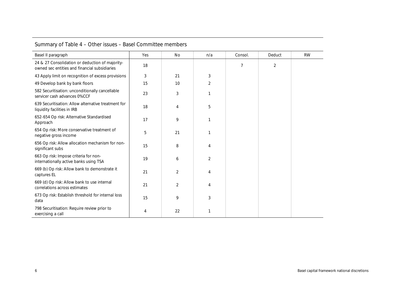| Summary of Table 4 – Other issues – Basel Committee members |  |  |
|-------------------------------------------------------------|--|--|
|-------------------------------------------------------------|--|--|

<span id="page-9-0"></span>

| Basel II paragraph                                                                               | Yes | <b>No</b>      | n/a            | Consol. | Deduct         | <b>RW</b> |
|--------------------------------------------------------------------------------------------------|-----|----------------|----------------|---------|----------------|-----------|
| 24 & 27 Consolidation or deduction of majority-<br>owned sec entities and financial subsidiaries | 18  |                |                | 7       | $\overline{2}$ |           |
| 43 Apply limit on recognition of excess provisions                                               | 3   | 21             | 3              |         |                |           |
| 49 Develop bank by bank floors                                                                   | 15  | 10             | $\overline{2}$ |         |                |           |
| 582 Securitisation: unconditionally cancellable<br>servicer cash advances 0%CCF                  | 23  | 3              | 1              |         |                |           |
| 639 Securitisation: Allow alternative treatment for<br>liquidity facilities in IRB               | 18  | 4              | 5              |         |                |           |
| 652-654 Op risk: Alternative Standardised<br>Approach                                            | 17  | 9              |                |         |                |           |
| 654 Op risk: More conservative treatment of<br>negative gross income                             | 5   | 21             | 1              |         |                |           |
| 656 Op risk: Allow allocation mechanism for non-<br>significant subs                             | 15  | 8              | 4              |         |                |           |
| 663 Op risk: Impose criteria for non-<br>internationally active banks using TSA                  | 19  | 6              | 2              |         |                |           |
| 669 (b) Op risk: Allow bank to demonstrate it<br>captures EL                                     | 21  | 2              | 4              |         |                |           |
| 669 (d) Op risk: Allow bank to use internal<br>correlations across estimates                     | 21  | $\overline{2}$ | 4              |         |                |           |
| 673 Op risk: Establish threshold for internal loss<br>data                                       | 15  | 9              | 3              |         |                |           |
| 798 Securitisation: Require review prior to<br>exercising a call                                 | 4   | 22             | 1              |         |                |           |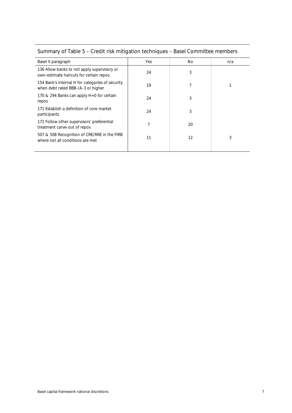| Basel II paragraph                                                                     | Yes | No | n/a |
|----------------------------------------------------------------------------------------|-----|----|-----|
| 136 Allow banks to not apply supervisory or<br>own-estimate haircuts for certain repos | 24  | 3  |     |
| 154 Bank's internal H for categories of security<br>when debt rated BBB-/A-3 or higher | 19  | 7  |     |
| 170 & 294 Banks can apply H=0 for certain<br>repos                                     | 24  | 3  |     |
| 171 Establish a definition of core market<br>participants                              | 24  | 3  |     |
| 172 Follow other supervisors' preferential<br>treatment carve-out of repos             | 7   | 20 |     |
| 507 & 508 Recognition of CRE/RRE in the FIRB<br>where not all conditions are met       | 11  | 12 | 3   |
|                                                                                        |     |    |     |

## <span id="page-10-0"></span>Summary of Table 5 – Credit risk mitigation techniques – Basel Committee members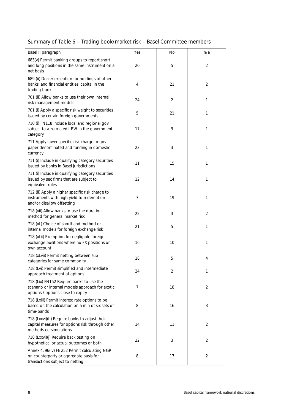## <span id="page-11-0"></span>Summary of Table 6 – Trading book/market risk – Basel Committee members

| Basel II paragraph                                                                                                               | Yes | No             | n/a            |
|----------------------------------------------------------------------------------------------------------------------------------|-----|----------------|----------------|
| 683(v) Permit banking groups to report short<br>and long positions in the same instrument on a<br>net basis                      | 20  | 5              | $\overline{2}$ |
| 689 (ii) Dealer exception for holdings of other<br>banks' and financial entities' capital in the<br>trading book                 | 4   | 21             | $\overline{2}$ |
| 701 (ii) Allow banks to use their own internal<br>risk management models                                                         | 24  | $\overline{2}$ | 1              |
| 701 (i) Apply a specific risk weight to securities<br>issued by certain foreign governments                                      | 5   | 21             | 1              |
| 710 (i) FN118 Include local and regional gov<br>subject to a zero credit RW in the government<br>category                        | 17  | 9              | 1              |
| 711 Apply lower specific risk charge to gov<br>paper denominated and funding in domestic<br>currency                             | 23  | 3              | 1              |
| 711 (i) Include in qualifying category securities<br>issued by banks in Basel jurisdictions                                      | 11  | 15             | 1              |
| 711 (i) Include in qualifying category securities<br>issued by sec firms that are subject to<br>equivalent rules                 | 12  | 14             | 1              |
| 712 (ii) Apply a higher specific risk charge to<br>instruments with high yield to redemption<br>and/or disallow offsetting       | 7   | 19             | 1              |
| 718 (vii) Allow banks to use the duration<br>method for general market risk                                                      | 22  | 3              | 2              |
| 718 (xL) Choice of shorthand method or<br>internal models for foreign exchange risk                                              | 21  | 5              | 1              |
| 718 (xLii) Exemption for negligible foreign<br>exchange positions where no FX positions on<br>own account                        | 16  | 10             | 1              |
| 718 (xLvii) Permit netting between sub<br>categories for same commodity                                                          | 18  | 5              | 4              |
| 718 (Lvi) Permit simplified and intermediate<br>approach treatment of options                                                    | 24  | $\sqrt{2}$     | 1              |
| 718 (Lix) FN152 Require banks to use the<br>scenario or internal models approach for exotic<br>options / options close to expiry | 7   | 18             | 2              |
| 718 (Lxiii) Permit interest rate options to be<br>based on the calculation on a min of six sets of<br>time-bands                 | 8   | 16             | 3              |
| 718 (Lxxvi)(h) Require banks to adjust their<br>capital measures for options risk through other<br>methods eg simulations        | 14  | 11             | 2              |
| 718 (Lxxvi)(j) Require back testing on<br>hypothetical or actual outcomes or both                                                | 22  | 3              | 2              |
| Annex 4, 96(iv) FN252 Permit calculating NGR<br>on counterparty or aggregate basis for<br>transactions subject to netting        | 8   | 17             | $\overline{2}$ |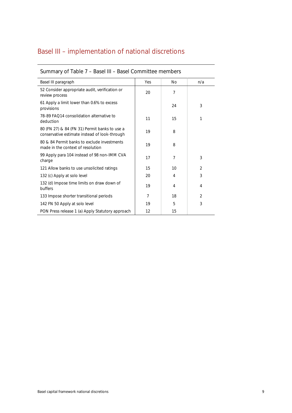## <span id="page-12-0"></span>Basel III – implementation of national discretions

| Basel III paragraph                                                                            | Yes | No | n/a            |
|------------------------------------------------------------------------------------------------|-----|----|----------------|
| 52 Consider appropriate audit, verification or<br>review process                               | 20  | 7  |                |
| 61 Apply a limit lower than 0.6% to excess<br>provisions                                       |     | 24 | 3              |
| 78-89 FAO14 consolidation alternative to<br>deduction                                          | 11  | 15 | 1              |
| 80 (FN 27) & 84 (FN 31) Permit banks to use a<br>conservative estimate instead of look-through | 19  | 8  |                |
| 80 & 84 Permit banks to exclude investments<br>made in the context of resolution               | 19  | 8  |                |
| 99 Apply para 104 instead of 98 non-IMM CVA<br>charge                                          | 17  | 7  | 3              |
| 121 Allow banks to use unsolicited ratings                                                     | 15  | 10 | $\overline{2}$ |
| 132 (c) Apply at solo level                                                                    | 20  | 4  | 3              |
| 132 (d) Impose time limits on draw down of<br>buffers                                          | 19  | 4  | 4              |
| 133 Impose shorter transitional periods                                                        | 7   | 18 | 2              |
| 142 FN 50 Apply at solo level                                                                  | 19  | 5  | 3              |
| PON Press release 1 (a) Apply Statutory approach                                               | 12  | 15 |                |

### <span id="page-12-1"></span>Summary of Table 7 – Basel III – Basel Committee members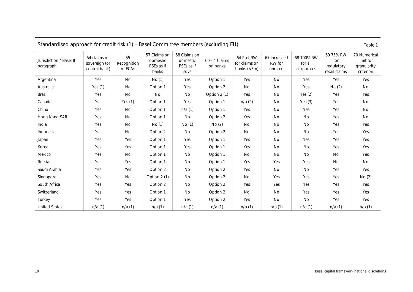<span id="page-13-0"></span>

| Standardised approach for credit risk (1) - Basel Committee members (excluding EU)<br>Table 1 |                                                |                              |                                                 |                                                |                          |                                             |                                   |                                     |                                                 |                                                       |
|-----------------------------------------------------------------------------------------------|------------------------------------------------|------------------------------|-------------------------------------------------|------------------------------------------------|--------------------------|---------------------------------------------|-----------------------------------|-------------------------------------|-------------------------------------------------|-------------------------------------------------------|
| Jurisdiction / Basel II<br>paragraph                                                          | 54 claims on<br>sovereign (or<br>central bank) | 55<br>Recognition<br>of ECAs | 57 Claims on<br>domestic<br>PSEs as if<br>banks | 58 Claims on<br>domestic<br>PSEs as if<br>SOVS | 60-64 Claims<br>on banks | 64 Pref RW<br>for claims on<br>banks $(3m)$ | 67 increased<br>RW for<br>unrated | 68 100% RW<br>for all<br>corporates | 69 75% RW<br>for<br>regulatory<br>retail claims | 70 Numerical<br>limit for<br>granularity<br>criterion |
| Argentina                                                                                     | Yes                                            | No                           | No(1)                                           | Yes                                            | Option 1                 | Yes                                         | No                                | Yes                                 | Yes                                             | Yes                                                   |
| Australia                                                                                     | Yes $(1)$                                      | No                           | Option 1                                        | Yes                                            | Option 2                 | No                                          | No                                | Yes                                 | No(2)                                           | No                                                    |
| Brazil                                                                                        | Yes                                            | No                           | No                                              | No                                             | Option 2 (1)             | Yes                                         | No                                | Yes $(2)$                           | Yes                                             | Yes                                                   |
| Canada                                                                                        | Yes                                            | Yes $(1)$                    | Option 1                                        | Yes                                            | Option 1                 | n/a(2)                                      | No                                | Yes $(3)$                           | Yes                                             | No                                                    |
| China                                                                                         | Yes                                            | No                           | Option 1                                        | n/a(1)                                         | Option 1                 | Yes                                         | No                                | Yes                                 | Yes                                             | No                                                    |
| Hong Kong SAR                                                                                 | Yes                                            | No                           | Option 1                                        | No                                             | Option 2                 | Yes                                         | No                                | No                                  | Yes                                             | No                                                    |
| India                                                                                         | Yes                                            | No                           | No(1)                                           | No(1)                                          | No(2)                    | No                                          | No                                | No                                  | Yes                                             | Yes                                                   |
| Indonesia                                                                                     | Yes                                            | No                           | Option 2                                        | No                                             | Option 2                 | No                                          | No                                | No                                  | Yes                                             | Yes                                                   |
| Japan                                                                                         | Yes                                            | Yes                          | Option 1                                        | Yes                                            | Option 1                 | Yes                                         | No                                | Yes                                 | Yes                                             | Yes                                                   |
| Korea                                                                                         | Yes                                            | Yes                          | Option 1                                        | Yes                                            | Option 1                 | Yes                                         | No                                | No                                  | Yes                                             | Yes                                                   |
| Mexico                                                                                        | Yes                                            | No                           | Option 1                                        | No                                             | Option 1                 | No                                          | No                                | No                                  | No                                              | Yes                                                   |
| Russia                                                                                        | Yes                                            | Yes                          | Option 1                                        | No                                             | Option 1                 | Yes                                         | Yes                               | Yes                                 | No                                              | No                                                    |
| Saudi Arabia                                                                                  | Yes                                            | Yes                          | Option 2                                        | No                                             | Option 2                 | Yes                                         | No                                | <b>No</b>                           | Yes                                             | Yes                                                   |
| Singapore                                                                                     | Yes                                            | No                           | Option 2 (1)                                    | No                                             | Option 2                 | No                                          | Yes                               | Yes                                 | Yes                                             | No(2)                                                 |
| South Africa                                                                                  | Yes                                            | Yes                          | Option 2                                        | No                                             | Option 2                 | Yes                                         | Yes                               | Yes                                 | Yes                                             | Yes                                                   |
| Switzerland                                                                                   | Yes                                            | Yes                          | Option 1                                        | No                                             | Option 2                 | No                                          | No                                | Yes                                 | Yes                                             | Yes                                                   |
| Turkey                                                                                        | Yes                                            | Yes                          | Option 1                                        | Yes                                            | Option 2                 | Yes                                         | No                                | No                                  | Yes                                             | Yes                                                   |
| <b>United States</b>                                                                          | n/a(1)                                         | n/a(1)                       | n/a(1)                                          | n/a(1)                                         | n/a(1)                   | n/a(1)                                      | n/a(1)                            | n/a(1)                              | n/a(1)                                          | n/a(1)                                                |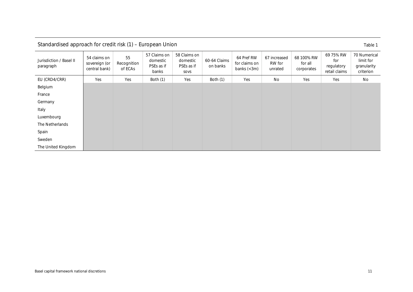<span id="page-14-0"></span>

| $\sigma$ or $\sigma$ and $\sigma$ and $\sigma$ and $\sigma$ and $\sigma$ and $\sigma$ and $\sigma$ and $\sigma$ and $\sigma$ and $\sigma$ and $\sigma$ and $\sigma$ and $\sigma$ and $\sigma$ and $\sigma$ and $\sigma$ and $\sigma$ and $\sigma$ and $\sigma$ and $\sigma$ and $\sigma$ and $\sigma$ and $\sigma$ and $\sigma$ a<br>Taple T |                                                |                              |                                                 |                                                |                          |                                                          |                                   |                                     |                                                 |                                                       |
|----------------------------------------------------------------------------------------------------------------------------------------------------------------------------------------------------------------------------------------------------------------------------------------------------------------------------------------------|------------------------------------------------|------------------------------|-------------------------------------------------|------------------------------------------------|--------------------------|----------------------------------------------------------|-----------------------------------|-------------------------------------|-------------------------------------------------|-------------------------------------------------------|
| Jurisdiction / Basel II<br>paragraph                                                                                                                                                                                                                                                                                                         | 54 claims on<br>sovereign (or<br>central bank) | 55<br>Recognition<br>of ECAs | 57 Claims on<br>domestic<br>PSEs as if<br>banks | 58 Claims on<br>domestic<br>PSEs as if<br>SOVS | 60-64 Claims<br>on banks | 64 Pref RW<br>for claims on<br>banks $\left( <3m\right)$ | 67 increased<br>RW for<br>unrated | 68 100% RW<br>for all<br>corporates | 69 75% RW<br>for<br>regulatory<br>retail claims | 70 Numerical<br>limit for<br>granularity<br>criterion |
| EU (CRD4/CRR)                                                                                                                                                                                                                                                                                                                                | Yes                                            | Yes                          | Both (1)                                        | Yes                                            | Both (1)                 | Yes                                                      | No                                | Yes                                 | Yes                                             | No                                                    |
| Belgium                                                                                                                                                                                                                                                                                                                                      |                                                |                              |                                                 |                                                |                          |                                                          |                                   |                                     |                                                 |                                                       |
| France                                                                                                                                                                                                                                                                                                                                       |                                                |                              |                                                 |                                                |                          |                                                          |                                   |                                     |                                                 |                                                       |
| Germany                                                                                                                                                                                                                                                                                                                                      |                                                |                              |                                                 |                                                |                          |                                                          |                                   |                                     |                                                 |                                                       |
| Italy                                                                                                                                                                                                                                                                                                                                        |                                                |                              |                                                 |                                                |                          |                                                          |                                   |                                     |                                                 |                                                       |
| Luxembourg                                                                                                                                                                                                                                                                                                                                   |                                                |                              |                                                 |                                                |                          |                                                          |                                   |                                     |                                                 |                                                       |
| The Netherlands                                                                                                                                                                                                                                                                                                                              |                                                |                              |                                                 |                                                |                          |                                                          |                                   |                                     |                                                 |                                                       |
| Spain                                                                                                                                                                                                                                                                                                                                        |                                                |                              |                                                 |                                                |                          |                                                          |                                   |                                     |                                                 |                                                       |
| Sweden                                                                                                                                                                                                                                                                                                                                       |                                                |                              |                                                 |                                                |                          |                                                          |                                   |                                     |                                                 |                                                       |
| The United Kingdom                                                                                                                                                                                                                                                                                                                           |                                                |                              |                                                 |                                                |                          |                                                          |                                   |                                     |                                                 |                                                       |

### Standardised approach for credit risk  $(1)$  – European Union  $\frac{1}{100}$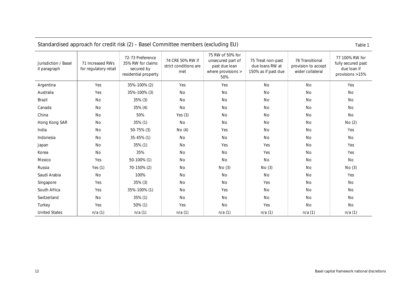<span id="page-15-0"></span>

| Standardised approach for credit risk (2) – Basel Committee members (excluding EU)<br>Table 1 |                                           |                                                                             |                                                  |                                                                                     |                                                             |                                                            |                                                                        |  |  |
|-----------------------------------------------------------------------------------------------|-------------------------------------------|-----------------------------------------------------------------------------|--------------------------------------------------|-------------------------------------------------------------------------------------|-------------------------------------------------------------|------------------------------------------------------------|------------------------------------------------------------------------|--|--|
| Jurisdiction / Basel<br>II paragraph                                                          | 71 Increased RWs<br>for regulatory retail | 72-73 Preference<br>35% RW for claims<br>secured by<br>residential property | 74 CRE 50% RW if<br>strict conditions are<br>met | 75 RW of 50% for<br>unsecured part of<br>past due loan<br>where provisions ><br>50% | 75 Treat non-past<br>due loans RW at<br>150% as if past due | 76 Transitional<br>provision to accept<br>wider collateral | 77 100% RW for<br>fully secured past<br>due loan if<br>provisions >15% |  |  |
| Argentina                                                                                     | Yes                                       | 35%-100% (2)                                                                | Yes                                              | Yes                                                                                 | <b>No</b>                                                   | No                                                         | Yes                                                                    |  |  |
| Australia                                                                                     | Yes                                       | 35%-100% (3)                                                                | <b>No</b>                                        | No                                                                                  | <b>No</b>                                                   | <b>No</b>                                                  | <b>No</b>                                                              |  |  |
| Brazil                                                                                        | No                                        | 35% (3)                                                                     | No                                               | No                                                                                  | No                                                          | No                                                         | No                                                                     |  |  |
| Canada                                                                                        | <b>No</b>                                 | $35\%$ (4)                                                                  | No                                               | No                                                                                  | No                                                          | No                                                         | <b>No</b>                                                              |  |  |
| China                                                                                         | <b>No</b>                                 | 50%                                                                         | Yes $(3)$                                        | No                                                                                  | No                                                          | No                                                         | No                                                                     |  |  |
| Hong Kong SAR                                                                                 | No                                        | 35% (1)                                                                     | No                                               | No                                                                                  | No                                                          | No                                                         | No(2)                                                                  |  |  |
| India                                                                                         | No                                        | $50-75%$ (3)                                                                | No(4)                                            | Yes                                                                                 | No                                                          | No                                                         | Yes                                                                    |  |  |
| Indonesia                                                                                     | No                                        | 35-45% (1)                                                                  | No                                               | No                                                                                  | No                                                          | No                                                         | No                                                                     |  |  |
| Japan                                                                                         | No                                        | 35% (1)                                                                     | No                                               | Yes                                                                                 | Yes                                                         | No                                                         | Yes                                                                    |  |  |
| Korea                                                                                         | <b>No</b>                                 | 35%                                                                         | No                                               | No                                                                                  | Yes                                                         | No                                                         | Yes                                                                    |  |  |
| Mexico                                                                                        | Yes                                       | 50-100% (1)                                                                 | No                                               | No                                                                                  | No                                                          | <b>No</b>                                                  | No                                                                     |  |  |
| Russia                                                                                        | Yes $(1)$                                 | 70-150% (2)                                                                 | No                                               | No(3)                                                                               | No(3)                                                       | <b>No</b>                                                  | No(3)                                                                  |  |  |
| Saudi Arabia                                                                                  | No                                        | 100%                                                                        | No                                               | No                                                                                  | No                                                          | No                                                         | Yes                                                                    |  |  |
| Singapore                                                                                     | Yes                                       | $35\%$ (3)                                                                  | No                                               | No                                                                                  | Yes                                                         | No                                                         | No                                                                     |  |  |
| South Africa                                                                                  | Yes                                       | 35%-100% (1)                                                                | No                                               | Yes                                                                                 | No                                                          | No                                                         | <b>No</b>                                                              |  |  |
| Switzerland                                                                                   | No                                        | 35% (1)                                                                     | No                                               | No                                                                                  | No                                                          | No                                                         | No                                                                     |  |  |
| Turkey                                                                                        | Yes                                       | $50\%$ (1)                                                                  | Yes                                              | No                                                                                  | Yes                                                         | No                                                         | No                                                                     |  |  |
| <b>United States</b>                                                                          | n/a(1)                                    | n/a(1)                                                                      | n/a(1)                                           | n/a(1)                                                                              | n/a(1)                                                      | n/a(1)                                                     | n/a(1)                                                                 |  |  |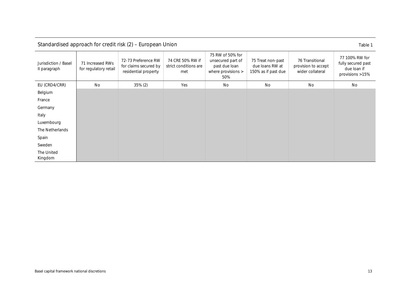| Jurisdiction / Basel<br>II paragraph | 71 Increased RWs<br>for regulatory retail | 72-73 Preference RW<br>for claims secured by<br>residential property | 74 CRE 50% RW if<br>strict conditions are<br>met | 75 RW of 50% for<br>unsecured part of<br>past due loan<br>where provisions ><br>50% | 75 Treat non-past<br>due Ioans RW at<br>150% as if past due | 76 Transitional<br>provision to accept<br>wider collateral | 77 100% RW for<br>fully secured past<br>due loan if<br>provisions >15% |
|--------------------------------------|-------------------------------------------|----------------------------------------------------------------------|--------------------------------------------------|-------------------------------------------------------------------------------------|-------------------------------------------------------------|------------------------------------------------------------|------------------------------------------------------------------------|
| EU (CRD4/CRR)                        | No                                        | $35\% (2)$                                                           | Yes                                              | No                                                                                  | No                                                          | No                                                         | No                                                                     |
| Belgium                              |                                           |                                                                      |                                                  |                                                                                     |                                                             |                                                            |                                                                        |
| France                               |                                           |                                                                      |                                                  |                                                                                     |                                                             |                                                            |                                                                        |
| Germany                              |                                           |                                                                      |                                                  |                                                                                     |                                                             |                                                            |                                                                        |
| Italy                                |                                           |                                                                      |                                                  |                                                                                     |                                                             |                                                            |                                                                        |
| Luxembourg                           |                                           |                                                                      |                                                  |                                                                                     |                                                             |                                                            |                                                                        |
| The Netherlands                      |                                           |                                                                      |                                                  |                                                                                     |                                                             |                                                            |                                                                        |
| Spain                                |                                           |                                                                      |                                                  |                                                                                     |                                                             |                                                            |                                                                        |
| Sweden                               |                                           |                                                                      |                                                  |                                                                                     |                                                             |                                                            |                                                                        |
| The United<br>Kingdom                |                                           |                                                                      |                                                  |                                                                                     |                                                             |                                                            |                                                                        |

### Standardised approach for credit risk (2) – European Union Table 1

<span id="page-16-0"></span>Basel capital framework national discretions 13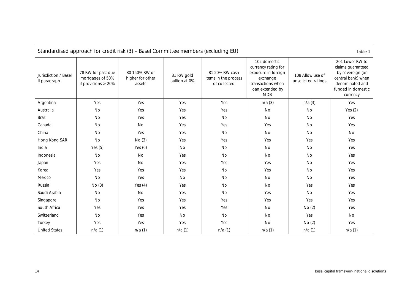<span id="page-17-0"></span>

| Standardised approach for credit risk (3) - Basel Committee members (excluding EU)<br>Table 1 |                                                                                                                                                                     |           |        |                                                        |                                                                                                                               |                                         |                                                                                                                                     |  |  |
|-----------------------------------------------------------------------------------------------|---------------------------------------------------------------------------------------------------------------------------------------------------------------------|-----------|--------|--------------------------------------------------------|-------------------------------------------------------------------------------------------------------------------------------|-----------------------------------------|-------------------------------------------------------------------------------------------------------------------------------------|--|--|
| Jurisdiction / Basel<br>II paragraph                                                          | 80 150% RW or<br>78 RW for past due<br>81 RW gold<br>mortgages of 50%<br>higher for other<br>bullion at 0%<br>if provisions $> 20\%$<br>assets<br>Yes<br>Yes<br>Yes |           |        | 81 20% RW cash<br>items in the process<br>of collected | 102 domestic<br>currency rating for<br>exposure in foreign<br>exchange<br>transactions when<br>loan extended by<br><b>MDB</b> | 108 Allow use of<br>unsolicited ratings | 201 Lower RW to<br>claims guaranteed<br>by sovereign (or<br>central bank) when<br>denominated and<br>funded in domestic<br>currency |  |  |
| Argentina                                                                                     |                                                                                                                                                                     |           |        | Yes                                                    | n/a(3)                                                                                                                        | n/a(3)                                  | Yes                                                                                                                                 |  |  |
| Australia                                                                                     | No                                                                                                                                                                  | Yes       | Yes    | Yes                                                    | No                                                                                                                            | <b>No</b>                               | Yes $(2)$                                                                                                                           |  |  |
| Brazil                                                                                        | <b>No</b>                                                                                                                                                           | Yes       | Yes    | No                                                     | No                                                                                                                            | No                                      | Yes                                                                                                                                 |  |  |
| Canada                                                                                        | No                                                                                                                                                                  | No        | Yes    | Yes                                                    | Yes                                                                                                                           | No                                      | Yes                                                                                                                                 |  |  |
| China                                                                                         | <b>No</b>                                                                                                                                                           | Yes       | Yes    | No                                                     | <b>No</b>                                                                                                                     | <b>No</b>                               | No                                                                                                                                  |  |  |
| Hong Kong SAR                                                                                 | <b>No</b>                                                                                                                                                           | No(3)     | Yes    | Yes                                                    | Yes                                                                                                                           | Yes                                     | Yes                                                                                                                                 |  |  |
| India                                                                                         | Yes $(5)$                                                                                                                                                           | Yes $(6)$ | No     | No                                                     | No                                                                                                                            | No                                      | Yes                                                                                                                                 |  |  |
| Indonesia                                                                                     | No                                                                                                                                                                  | <b>No</b> | Yes    | No                                                     | No                                                                                                                            | <b>No</b>                               | Yes                                                                                                                                 |  |  |
| Japan                                                                                         | Yes                                                                                                                                                                 | No        | Yes    | Yes                                                    | Yes                                                                                                                           | <b>No</b>                               | Yes                                                                                                                                 |  |  |
| Korea                                                                                         | Yes                                                                                                                                                                 | Yes       | Yes    | No                                                     | Yes                                                                                                                           | No                                      | Yes                                                                                                                                 |  |  |
| Mexico                                                                                        | <b>No</b>                                                                                                                                                           | Yes       | No     | No                                                     | No                                                                                                                            | No                                      | Yes                                                                                                                                 |  |  |
| Russia                                                                                        | No(3)                                                                                                                                                               | Yes $(4)$ | Yes    | No                                                     | No                                                                                                                            | Yes                                     | Yes                                                                                                                                 |  |  |
| Saudi Arabia                                                                                  | <b>No</b>                                                                                                                                                           | No        | Yes    | No                                                     | Yes                                                                                                                           | <b>No</b>                               | Yes                                                                                                                                 |  |  |
| Singapore                                                                                     | <b>No</b>                                                                                                                                                           | Yes       | Yes    | Yes                                                    | Yes                                                                                                                           | Yes                                     | Yes                                                                                                                                 |  |  |
| South Africa                                                                                  | Yes                                                                                                                                                                 | Yes       | Yes    | Yes                                                    | No                                                                                                                            | No(2)                                   | Yes                                                                                                                                 |  |  |
| Switzerland                                                                                   | No                                                                                                                                                                  | Yes       | No     | No                                                     | No                                                                                                                            | Yes                                     | No                                                                                                                                  |  |  |
| Turkey                                                                                        | Yes                                                                                                                                                                 | Yes       | Yes    | Yes                                                    | No                                                                                                                            | No(2)                                   | Yes                                                                                                                                 |  |  |
| <b>United States</b>                                                                          | n/a(1)                                                                                                                                                              | n/a(1)    | n/a(1) | n/a(1)                                                 | n/a(1)                                                                                                                        | n/a(1)                                  | n/a(1)                                                                                                                              |  |  |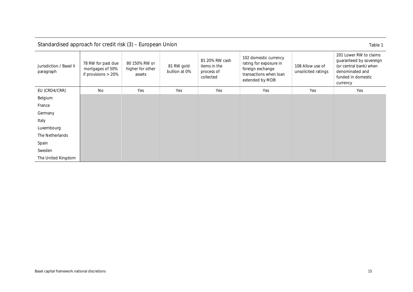<span id="page-18-0"></span>

| Standardised approach for credit risk (3) - European Union<br>Table 1 |                                                                  |                                             |                             |                                                           |                                                                                                                  |                                         |                                                                                                                                  |  |  |
|-----------------------------------------------------------------------|------------------------------------------------------------------|---------------------------------------------|-----------------------------|-----------------------------------------------------------|------------------------------------------------------------------------------------------------------------------|-----------------------------------------|----------------------------------------------------------------------------------------------------------------------------------|--|--|
| Jurisdiction / Basel II<br>paragraph                                  | 78 RW for past due<br>mortgages of 50%<br>if provisions $> 20\%$ | 80 150% RW or<br>higher for other<br>assets | 81 RW gold<br>bullion at 0% | 81 20% RW cash<br>items in the<br>process of<br>collected | 102 domestic currency<br>rating for exposure in<br>foreign exchange<br>transactions when loan<br>extended by MDB | 108 Allow use of<br>unsolicited ratings | 201 Lower RW to claims<br>guaranteed by sovereign<br>(or central bank) when<br>denominated and<br>funded in domestic<br>currency |  |  |
| EU (CRD4/CRR)                                                         | No                                                               | Yes                                         | Yes                         | Yes                                                       | Yes                                                                                                              | Yes                                     | Yes                                                                                                                              |  |  |
| Belgium                                                               |                                                                  |                                             |                             |                                                           |                                                                                                                  |                                         |                                                                                                                                  |  |  |
| France                                                                |                                                                  |                                             |                             |                                                           |                                                                                                                  |                                         |                                                                                                                                  |  |  |
| Germany                                                               |                                                                  |                                             |                             |                                                           |                                                                                                                  |                                         |                                                                                                                                  |  |  |
| Italy                                                                 |                                                                  |                                             |                             |                                                           |                                                                                                                  |                                         |                                                                                                                                  |  |  |
| Luxembourg                                                            |                                                                  |                                             |                             |                                                           |                                                                                                                  |                                         |                                                                                                                                  |  |  |
| The Netherlands                                                       |                                                                  |                                             |                             |                                                           |                                                                                                                  |                                         |                                                                                                                                  |  |  |
| Spain                                                                 |                                                                  |                                             |                             |                                                           |                                                                                                                  |                                         |                                                                                                                                  |  |  |
| Sweden                                                                |                                                                  |                                             |                             |                                                           |                                                                                                                  |                                         |                                                                                                                                  |  |  |
| The United Kingdom                                                    |                                                                  |                                             |                             |                                                           |                                                                                                                  |                                         |                                                                                                                                  |  |  |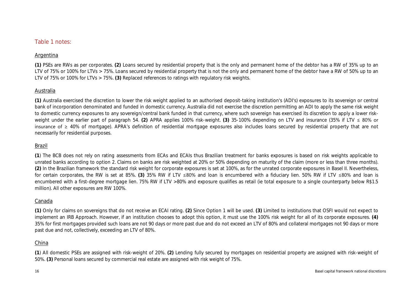### Table 1 notes:

### Argentina

**(1)** PSEs are RWs as per corporates. **(2)** Loans secured by residential property that is the only and permanent home of the debtor has a RW of 35% up to an LTV of 75% or 100% for LTVs > 75%. Loans secured by residential property that is not the only and permanent home of the debtor have a RW of 50% up to an LTV of 75% or 100% for LTVs > 75%. **(3)** Replaced references to ratings with regulatory risk weights.

### Australia

**(1)** Australia exercised the discretion to lower the risk weight applied to an authorised deposit-taking institution's (ADI's) exposures to its sovereign or central bank of incorporation denominated and funded in domestic currency. Australia did not exercise the discretion permitting an ADI to apply the same risk weight to domestic currency exposures to any sovereign/central bank funded in that currency, where such sovereign has exercised its discretion to apply a lower riskweight under the earlier part of paragraph 54. **(2)** APRA applies 100% risk-weight. **(3)** 35-100% depending on LTV and insurance (35% if LTV ≤ 80% or insurance of ≥ 40% of mortgage). APRA's definition of residential mortgage exposures also includes loans secured by residential property that are not necessarily for residential purposes.

### Brazil

**(1**) The BCB does not rely on rating assessments from ECAs and ECAIs thus Brazilian treatment for banks exposures is based on risk weights applicable to unrated banks according to option 2. Claims on banks are risk weighted at 20% or 50% depending on maturity of the claim (more or less than three months). **(2)** In the Brazilian framework the standard risk weight for corporate exposures is set at 100%, as for the unrated corporate exposures in Basel II. Nevertheless, for certain corporates, the RW is set at 85%. **(3)** 35% RW if LTV ≤80% and loan is encumbered with a fiduciary lien. 50% RW if LTV ≤80% and loan is encumbered with a first-degree mortgage lien. 75% RW if LTV >80% and exposure qualifies as retail (ie total exposure to a single counterparty below R\$1.5 million). All other exposures are RW 100%.

### Canada

**(1)** Only for claims on sovereigns that do not receive an ECAI rating. **(2)** Since Option 1 will be used. **(3)** Limited to institutions that OSFI would not expect to implement an IRB Approach. However, if an institution chooses to adopt this option, it must use the 100% risk weight for all of its corporate exposures. **(4)** 35% for first mortgages provided such loans are not 90 days or more past due and do not exceed an LTV of 80% and collateral mortgages not 90 days or more past due and not, collectively, exceeding an LTV of 80%.

### China

**(1**) All domestic PSEs are assigned with risk-weight of 20%. **(2)** Lending fully secured by mortgages on residential property are assigned with risk-weight of 50%. **(3)** Personal loans secured by commercial real estate are assigned with risk weight of 75%.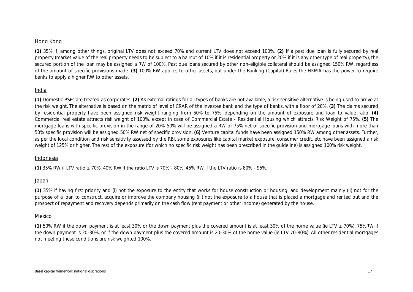### Hong Kong

**(1)** 35% if, among other things, original LTV does not exceed 70% and current LTV does not exceed 100%. **(2)** If a past due loan is fully secured by real property (market value of the real property needs to be subject to a haircut of 10% if it is residential property or 20% if it is any other type of real property), the secured portion of the loan may be assigned a RW of 100%. Past due loans secured by other non-eligible collateral should be assigned 150% RW, regardless of the amount of specific provisions made. **(3)** 100% RW applies to other assets, but under the Banking (Capital) Rules the HKMA has the power to require banks to apply a higher RW to other assets.

### India

**(1)** Domestic PSEs are treated as corporates. **(2)** As external ratings for all types of banks are not available, a risk sensitive alternative is being used to arrive at the risk weight. The alternative is based on the matrix of level of CRAR of the investee bank and the type of banks, with a floor of 20%. **(3)** The claims secured by residential property have been assigned risk weight ranging from 50% to 75%, depending on the amount of exposure and loan to value ratio. **(4)** Commercial real estate attracts risk weight of 100%, except in case of Commercial Estate - Residential Housing which attracts Risk Weight of 75%. **(5)** The mortgage loans with specific provision in the range of 20%-50% will be assigned a RW of 75% net of specific provision and mortgage loans with more than 50% specific provision will be assigned 50% RW net of specific provision. **(6)** Venture capital funds have been assigned 150% RW among other assets. Further, as per the local condition and risk sensitivity assessed by the RBI, some exposures like capital market exposure, consumer credit, etc have been assigned a risk weight of 125% or higher. The rest of the exposure (for which no specific risk weight has been prescribed in the guideline) is assigned 100% risk weight.

### Indonesia

**(1)** 35% RW if LTV ratio ≤ 70%. 40% RW if the ratio LTV is 70% - 80%. 45% RW if the LTV ratio is 80% - 95%.

### Japan

**(1)** 35% if having first priority and (i) not the exposure to the entity that works for house construction or housing land development mainly (ii) not for the purpose of a loan to construct, acquire or improve the company housing (iii) not the exposure to a house that is placed a mortgage and rented out and the prospect of repayment and recovery depends primarily on the cash flow (rent payment or other income) generated by the house.

### Mexico

**(1)** 50% RW if the down payment is at least 30% or the down payment plus the covered amount is at least 30% of the home value (ie LTV ≤ 70%). 75%RW if the down payment is 20-30%, or if the down payment plus the covered amount is 20-30% of the home value (ie LTV 70-80%). All other residential mortgages not meeting these conditions are risk weighted 100%.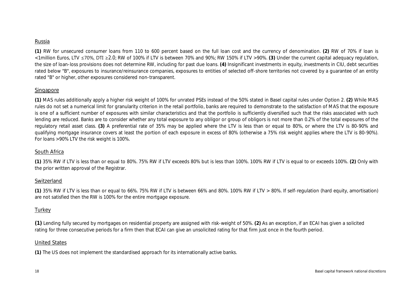### Russia

**(1)** RW for unsecured consumer loans from 110 to 600 percent based on the full loan cost and the currency of denomination. **(2)** RW of 70% if loan is <1million Euros, LTV ≤70%, DTI ≥2.0; RW of 100% if LTV is between 70% and 90%; RW 150% if LTV >90%. **(3)** Under the current capital adequacy regulation, the size of loan-loss provisions does not determine RW, including for past due loans. **(4)** Insignificant investments in equity, investments in CIU, debt securities rated below "B", exposures to insurance/reinsurance companies, exposures to entities of selected off-shore territories not covered by a guarantee of an entity rated "B" or higher, other exposures considered non-transparent.

### Singapore

**(1)** MAS rules additionally apply a higher risk weight of 100% for unrated PSEs instead of the 50% stated in Basel capital rules under Option 2. **(2)** While MAS rules do not set a numerical limit for granularity criterion in the retail portfolio, banks are required to demonstrate to the satisfaction of MAS that the exposure is one of a sufficient number of exposures with similar characteristics and that the portfolio is sufficiently diversified such that the risks associated with such lending are reduced. Banks are to consider whether any total exposure to any obligor or group of obligors is not more than 0.2% of the total exposures of the regulatory retail asset class. **(3)** A preferential rate of 35% may be applied where the LTV is less than or equal to 80%, or where the LTV is 80-90% and qualifying mortgage insurance covers at least the portion of each exposure in excess of 80% (otherwise a 75% risk weight applies where the LTV is 80-90%). For loans >90% LTV the risk weight is 100%.

### South Africa

**(1)** 35% RW if LTV is less than or equal to 80%. 75% RW if LTV exceeds 80% but is less than 100%. 100% RW if LTV is equal to or exceeds 100%. **(2)** Only with the prior written approval of the Registrar.

### Switzerland

**(1)** 35% RW if LTV is less than or equal to 66%. 75% RW if LTV is between 66% and 80%. 100% RW if LTV > 80%. If self-regulation (hard equity, amortisation) are not satisfied then the RW is 100% for the entire mortgage exposure.

### **Turkey**

**(1)** Lending fully secured by mortgages on residential property are assigned with risk-weight of 50%. **(2)** As an exception, if an ECAI has given a solicited rating for three consecutive periods for a firm then that ECAI can give an unsolicited rating for that firm just once in the fourth period.

### United States

**(1)** The US does not implement the standardised approach for its internationally active banks.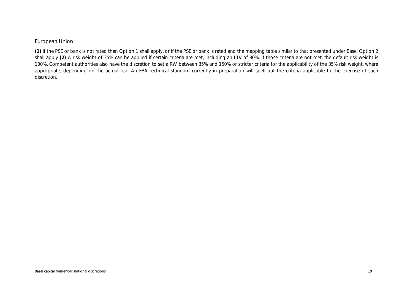### European Union

**(1)** If the PSE or bank is not rated then Option 1 shall apply, or if the PSE or bank is rated and the mapping table similar to that presented under Basel Option 2 shall apply (2) A risk weight of 35% can be applied if certain criteria are met, including an LTV of 80%. If those criteria are not met, the default risk weight is 100%. Competent authorities also have the discretion to set a RW between 35% and 150% or stricter criteria for the applicability of the 35% risk weight, where appropriate, depending on the actual risk. An EBA technical standard currently in preparation will spell out the criteria applicable to the exercise of such discretion.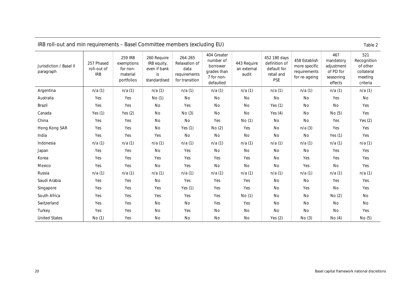<span id="page-23-0"></span>

| IRB roll-out and min requirements – Basel Committee members (excluding EU)<br>Table 2 |                                         |                                                                    |                                                                  |                                                                    |                                                                                |                                     |                                                                          |                                                                 |                                                                     |                                                                     |
|---------------------------------------------------------------------------------------|-----------------------------------------|--------------------------------------------------------------------|------------------------------------------------------------------|--------------------------------------------------------------------|--------------------------------------------------------------------------------|-------------------------------------|--------------------------------------------------------------------------|-----------------------------------------------------------------|---------------------------------------------------------------------|---------------------------------------------------------------------|
| Jurisdiction / Basel II<br>paragraph                                                  | 257 Phased<br>roll-out of<br><b>IRB</b> | <b>259 IRB</b><br>exemptions<br>for non-<br>material<br>portfolios | 260 Require<br>IRB equity,<br>even if bank<br>is<br>standardised | 264-265<br>Relaxation of<br>data<br>requirements<br>for transition | 404 Greater<br>number of<br>borrower<br>grades than<br>7 for non-<br>defaulted | 443 Require<br>an external<br>audit | 452 180 days<br>definition of<br>default for<br>retail and<br><b>PSE</b> | 458 Establish<br>more specific<br>requirements<br>for re-ageing | 467<br>mandatory<br>adjustment<br>of PD for<br>seasoning<br>effects | 521<br>Recognition<br>of other<br>collateral<br>meeting<br>criteria |
| Argentina                                                                             | n/a(1)                                  | n/a(1)                                                             | n/a(1)                                                           | n/a(1)                                                             | n/a(1)                                                                         | n/a(1)                              | n/a(1)                                                                   | n/a(1)                                                          | n/a(1)                                                              | n/a(1)                                                              |
| Australia                                                                             | Yes                                     | Yes                                                                | No (1)                                                           | No                                                                 | No                                                                             | No                                  | No                                                                       | No                                                              | Yes                                                                 | No                                                                  |
| Brazil                                                                                | Yes                                     | Yes                                                                | No                                                               | Yes                                                                | No                                                                             | No                                  | Yes $(1)$                                                                | No                                                              | No                                                                  | Yes                                                                 |
| Canada                                                                                | Yes $(1)$                               | Yes $(2)$                                                          | No                                                               | No(3)                                                              | No                                                                             | No                                  | Yes $(4)$                                                                | No                                                              | No(5)                                                               | Yes                                                                 |
| China                                                                                 | Yes                                     | Yes                                                                | No                                                               | No                                                                 | Yes                                                                            | No (1)                              | No                                                                       | No                                                              | Yes                                                                 | Yes $(2)$                                                           |
| Hong Kong SAR                                                                         | Yes                                     | Yes                                                                | No                                                               | Yes $(1)$                                                          | No(2)                                                                          | Yes                                 | No                                                                       | n/a(3)                                                          | Yes                                                                 | Yes                                                                 |
| India                                                                                 | Yes                                     | Yes                                                                | Yes                                                              | No                                                                 | No                                                                             | <b>No</b>                           | No                                                                       | No                                                              | Yes $(1)$                                                           | Yes                                                                 |
| Indonesia                                                                             | n/a(1)                                  | n/a(1)                                                             | n/a(1)                                                           | n/a(1)                                                             | n/a(1)                                                                         | n/a(1)                              | n/a(1)                                                                   | n/a(1)                                                          | n/a(1)                                                              | n/a(1)                                                              |
| Japan                                                                                 | Yes                                     | Yes                                                                | No                                                               | Yes                                                                | No                                                                             | No                                  | No                                                                       | No                                                              | Yes                                                                 | Yes                                                                 |
| Korea                                                                                 | Yes                                     | Yes                                                                | Yes                                                              | Yes                                                                | Yes                                                                            | Yes                                 | No                                                                       | Yes                                                             | Yes                                                                 | Yes                                                                 |
| Mexico                                                                                | Yes                                     | Yes                                                                | No                                                               | Yes                                                                | No                                                                             | No                                  | No                                                                       | Yes                                                             | No                                                                  | Yes                                                                 |
| Russia                                                                                | n/a(1)                                  | n/a(1)                                                             | n/a(1)                                                           | n/a(1)                                                             | n/a(1)                                                                         | n/a(1)                              | n/a(1)                                                                   | n/a(1)                                                          | n/a(1)                                                              | n/a(1)                                                              |
| Saudi Arabia                                                                          | Yes                                     | Yes                                                                | No                                                               | Yes                                                                | Yes                                                                            | Yes                                 | No                                                                       | No                                                              | Yes                                                                 | Yes                                                                 |
| Singapore                                                                             | Yes                                     | Yes                                                                | Yes                                                              | Yes $(1)$                                                          | Yes                                                                            | Yes                                 | No                                                                       | Yes                                                             | No                                                                  | Yes                                                                 |
| South Africa                                                                          | Yes                                     | Yes                                                                | Yes                                                              | Yes                                                                | Yes                                                                            | No (1)                              | No                                                                       | No                                                              | No(2)                                                               | No                                                                  |
| Switzerland                                                                           | Yes                                     | Yes                                                                | No                                                               | No                                                                 | Yes                                                                            | Yes                                 | No                                                                       | No                                                              | No                                                                  | No                                                                  |
| Turkey                                                                                | Yes                                     | Yes                                                                | No                                                               | Yes                                                                | No                                                                             | No                                  | No                                                                       | No                                                              | No                                                                  | Yes                                                                 |
| <b>United States</b>                                                                  | No(1)                                   | Yes                                                                | No                                                               | No                                                                 | No                                                                             | No                                  | Yes $(2)$                                                                | No(3)                                                           | No (4)                                                              | No (5)                                                              |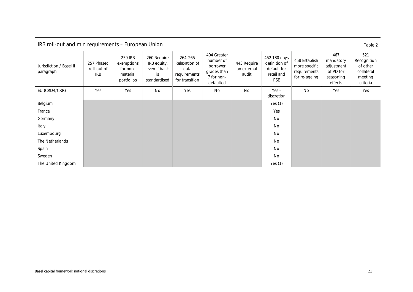<span id="page-24-0"></span>

| IRB roll-out and min requirements - European Union |                                         |                                                             |                                                                  |                                                                    |                                                                                |                                     |                                                                          |                                                                 |                                                                     | Table 2                                                             |
|----------------------------------------------------|-----------------------------------------|-------------------------------------------------------------|------------------------------------------------------------------|--------------------------------------------------------------------|--------------------------------------------------------------------------------|-------------------------------------|--------------------------------------------------------------------------|-----------------------------------------------------------------|---------------------------------------------------------------------|---------------------------------------------------------------------|
| Jurisdiction / Basel II<br>paragraph               | 257 Phased<br>roll-out of<br><b>IRB</b> | 259 IRB<br>exemptions<br>for non-<br>material<br>portfolios | 260 Require<br>IRB equity,<br>even if bank<br>is<br>standardised | 264-265<br>Relaxation of<br>data<br>requirements<br>for transition | 404 Greater<br>number of<br>borrower<br>grades than<br>7 for non-<br>defaulted | 443 Require<br>an external<br>audit | 452 180 days<br>definition of<br>default for<br>retail and<br><b>PSE</b> | 458 Establish<br>more specific<br>requirements<br>for re-ageing | 467<br>mandatory<br>adjustment<br>of PD for<br>seasoning<br>effects | 521<br>Recognition<br>of other<br>collateral<br>meeting<br>criteria |
| EU (CRD4/CRR)                                      | Yes                                     | Yes                                                         | <b>No</b>                                                        | Yes                                                                | No                                                                             | <b>No</b>                           | $Yes -$<br>discretion                                                    | <b>No</b>                                                       | Yes                                                                 | Yes                                                                 |
| Belgium                                            |                                         |                                                             |                                                                  |                                                                    |                                                                                |                                     | Yes $(1)$                                                                |                                                                 |                                                                     |                                                                     |
| France                                             |                                         |                                                             |                                                                  |                                                                    |                                                                                |                                     | Yes                                                                      |                                                                 |                                                                     |                                                                     |
| Germany                                            |                                         |                                                             |                                                                  |                                                                    |                                                                                |                                     | No                                                                       |                                                                 |                                                                     |                                                                     |
| Italy                                              |                                         |                                                             |                                                                  |                                                                    |                                                                                |                                     | No                                                                       |                                                                 |                                                                     |                                                                     |
| Luxembourg                                         |                                         |                                                             |                                                                  |                                                                    |                                                                                |                                     | No                                                                       |                                                                 |                                                                     |                                                                     |
| The Netherlands                                    |                                         |                                                             |                                                                  |                                                                    |                                                                                |                                     | <b>No</b>                                                                |                                                                 |                                                                     |                                                                     |
| Spain                                              |                                         |                                                             |                                                                  |                                                                    |                                                                                |                                     | <b>No</b>                                                                |                                                                 |                                                                     |                                                                     |
| Sweden                                             |                                         |                                                             |                                                                  |                                                                    |                                                                                |                                     | <b>No</b>                                                                |                                                                 |                                                                     |                                                                     |
| The United Kingdom                                 |                                         |                                                             |                                                                  |                                                                    |                                                                                |                                     | Yes $(1)$                                                                |                                                                 |                                                                     |                                                                     |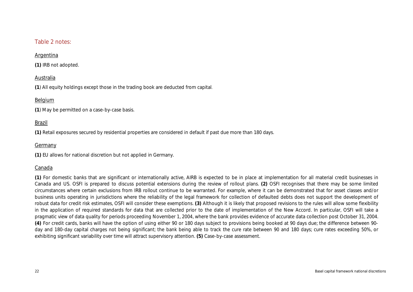### Table 2 notes:

### Argentina

**(1)** IRB not adopted.

### Australia

**(1**) All equity holdings except those in the trading book are deducted from capital.

### Belgium

**(1**) May be permitted on a case-by-case basis.

### Brazil

**(1)** Retail exposures secured by residential properties are considered in default if past due more than 180 days.

### Germany

**(1)** EU allows for national discretion but not applied in Germany.

### Canada

**(1)** For domestic banks that are significant or internationally active, AIRB is expected to be in place at implementation for all material credit businesses in Canada and US. OSFI is prepared to discuss potential extensions during the review of rollout plans. **(2)** OSFI recognises that there may be some limited circumstances where certain exclusions from IRB rollout continue to be warranted. For example, where it can be demonstrated that for asset classes and/or business units operating in jurisdictions where the reliability of the legal framework for collection of defaulted debts does not support the development of robust data for credit risk estimates, OSFI will consider these exemptions. **(3)** Although it is likely that proposed revisions to the rules will allow some flexibility in the application of required standards for data that are collected prior to the date of implementation of the New Accord. In particular, OSFI will take a pragmatic view of data quality for periods proceeding November 1, 2004, where the bank provides evidence of accurate data collection post October 31, 2004. **(4)** For credit cards, banks will have the option of using either 90 or 180 days subject to provisions being booked at 90 days due; the difference between 90 day and 180-day capital charges not being significant; the bank being able to track the cure rate between 90 and 180 days; cure rates exceeding 50%, or exhibiting significant variability over time will attract supervisory attention. **(5)** Case-by-case assessment.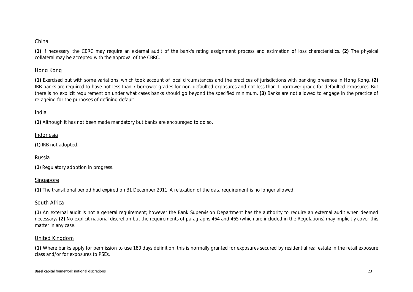### China

**(1)** If necessary, the CBRC may require an external audit of the bank's rating assignment process and estimation of loss characteristics. **(2)** The physical collateral may be accepted with the approval of the CBRC.

### Hong Kong

**(1)** Exercised but with some variations, which took account of local circumstances and the practices of jurisdictions with banking presence in Hong Kong. **(2)** IRB banks are required to have not less than 7 borrower grades for non-defaulted exposures and not less than 1 borrower grade for defaulted exposures. But there is no explicit requirement on under what cases banks should go beyond the specified minimum. **(3)** Banks are not allowed to engage in the practice of re-ageing for the purposes of defining default.

### India

**(1)** Although it has not been made mandatory but banks are encouraged to do so.

### Indonesia

**(1)** IRB not adopted.

### Russia

**(1**) Regulatory adoption in progress.

### Singapore

**(1)** The transitional period had expired on 31 December 2011. A relaxation of the data requirement is no longer allowed.

### South Africa

**(1**) An external audit is not a general requirement; however the Bank Supervision Department has the authority to require an external audit when deemed necessary**. (2)** No explicit national discretion but the requirements of paragraphs 464 and 465 (which are included in the Regulations) may implicitly cover this matter in any case.

### United Kingdom

**(1)** Where banks apply for permission to use 180 days definition, this is normally granted for exposures secured by residential real estate in the retail exposure class and/or for exposures to PSEs.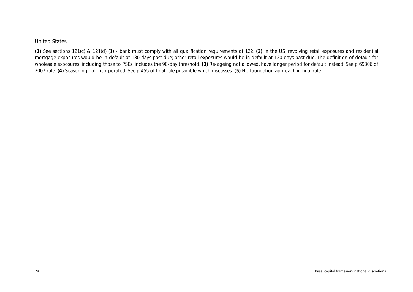### United States

**(1)** See sections 121(c) & 121(d) (1) - bank must comply with all qualification requirements of 122. **(2)** In the US, revolving retail exposures and residential mortgage exposures would be in default at 180 days past due; other retail exposures would be in default at 120 days past due. The definition of default for wholesale exposures, including those to PSEs, includes the 90-day threshold. **(3)** Re-ageing not allowed, have longer period for default instead. See p 69306 of 2007 rule. **(4)** Seasoning not incorporated. See p 455 of final rule preamble which discusses. **(5)** No foundation approach in final rule.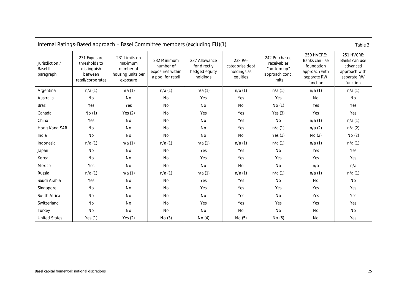<span id="page-28-0"></span>

|                                                | Internal Ratings-Based approach – Basel Committee members (excluding EU)(1)<br>Table 3 |                                                                        |                                                                   |                                                            |                                                       |                                                                         |                                                                                       |                                                                                     |  |
|------------------------------------------------|----------------------------------------------------------------------------------------|------------------------------------------------------------------------|-------------------------------------------------------------------|------------------------------------------------------------|-------------------------------------------------------|-------------------------------------------------------------------------|---------------------------------------------------------------------------------------|-------------------------------------------------------------------------------------|--|
| Jurisdiction /<br><b>Basel II</b><br>paragraph | 231 Exposure<br>thresholds to<br>distinguish<br>between<br>retail/corporates           | 231 Limits on<br>maximum<br>number of<br>housing units per<br>exposure | 232 Minimum<br>number of<br>exposures within<br>a pool for retail | 237 Allowance<br>for directly<br>hedged equity<br>holdings | 238 Re-<br>categorise debt<br>holdings as<br>equities | 242 Purchased<br>receivables<br>"bottom up"<br>approach conc.<br>limits | 250 HVCRE:<br>Banks can use<br>foundation<br>approach with<br>separate RW<br>function | 251 HVCRE:<br>Banks can use<br>advanced<br>approach with<br>separate RW<br>function |  |
| Argentina                                      | n/a(1)                                                                                 | n/a(1)                                                                 | n/a(1)                                                            | n/a(1)                                                     | n/a(1)                                                | n/a(1)                                                                  | n/a(1)                                                                                | n/a(1)                                                                              |  |
| Australia                                      | No                                                                                     | No                                                                     | No                                                                | Yes                                                        | Yes                                                   | Yes                                                                     | <b>No</b>                                                                             | No                                                                                  |  |
| Brazil                                         | Yes                                                                                    | Yes                                                                    | No                                                                | No                                                         | No                                                    | No(1)                                                                   | Yes                                                                                   | Yes                                                                                 |  |
| Canada                                         | No (1)                                                                                 | Yes $(2)$                                                              | No                                                                | Yes                                                        | Yes                                                   | Yes $(3)$                                                               | Yes                                                                                   | Yes                                                                                 |  |
| China                                          | Yes                                                                                    | No                                                                     | No                                                                | No                                                         | Yes                                                   | No                                                                      | n/a(1)                                                                                | n/a(1)                                                                              |  |
| Hong Kong SAR                                  | No                                                                                     | No                                                                     | No                                                                | No                                                         | Yes                                                   | n/a(1)                                                                  | n/a(2)                                                                                | n/a(2)                                                                              |  |
| India                                          | No                                                                                     | No                                                                     | No                                                                | No                                                         | No                                                    | Yes $(1)$                                                               | No(2)                                                                                 | No(2)                                                                               |  |
| Indonesia                                      | n/a(1)                                                                                 | n/a(1)                                                                 | n/a(1)                                                            | n/a(1)                                                     | n/a(1)                                                | n/a(1)                                                                  | n/a(1)                                                                                | n/a(1)                                                                              |  |
| Japan                                          | No                                                                                     | No                                                                     | No                                                                | Yes                                                        | Yes                                                   | No                                                                      | Yes                                                                                   | Yes                                                                                 |  |
| Korea                                          | No                                                                                     | No                                                                     | No                                                                | Yes                                                        | Yes                                                   | Yes                                                                     | Yes                                                                                   | Yes                                                                                 |  |
| Mexico                                         | Yes                                                                                    | No                                                                     | No                                                                | No                                                         | No                                                    | No                                                                      | n/a                                                                                   | n/a                                                                                 |  |
| Russia                                         | n/a(1)                                                                                 | n/a(1)                                                                 | n/a(1)                                                            | n/a(1)                                                     | n/a(1)                                                | n/a(1)                                                                  | n/a(1)                                                                                | n/a(1)                                                                              |  |
| Saudi Arabia                                   | Yes                                                                                    | No                                                                     | No                                                                | Yes                                                        | Yes                                                   | No                                                                      | No                                                                                    | No                                                                                  |  |
| Singapore                                      | No                                                                                     | No                                                                     | No                                                                | Yes                                                        | Yes                                                   | Yes                                                                     | Yes                                                                                   | Yes                                                                                 |  |
| South Africa                                   | No                                                                                     | No                                                                     | No                                                                | No                                                         | Yes                                                   | No                                                                      | Yes                                                                                   | Yes                                                                                 |  |
| Switzerland                                    | No                                                                                     | No                                                                     | No                                                                | Yes                                                        | Yes                                                   | Yes                                                                     | Yes                                                                                   | Yes                                                                                 |  |
| Turkey                                         | No                                                                                     | No                                                                     | No                                                                | No                                                         | No                                                    | No                                                                      | No                                                                                    | No                                                                                  |  |
| <b>United States</b>                           | Yes $(1)$                                                                              | Yes $(2)$                                                              | No(3)                                                             | No(4)                                                      | No(5)                                                 | No(6)                                                                   | No                                                                                    | Yes                                                                                 |  |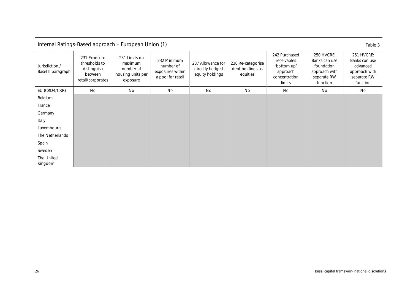<span id="page-29-0"></span>

|                                      | Internal Ratings-Based approach - European Union (1)<br>Table 3              |                                                                        |                                                                   |                                                         |                                                   |                                                                                    |                                                                                              |                                                                                     |  |  |  |
|--------------------------------------|------------------------------------------------------------------------------|------------------------------------------------------------------------|-------------------------------------------------------------------|---------------------------------------------------------|---------------------------------------------------|------------------------------------------------------------------------------------|----------------------------------------------------------------------------------------------|-------------------------------------------------------------------------------------|--|--|--|
| Jurisdiction /<br>Basel II paragraph | 231 Exposure<br>thresholds to<br>distinguish<br>between<br>retail/corporates | 231 Limits on<br>maximum<br>number of<br>housing units per<br>exposure | 232 Minimum<br>number of<br>exposures within<br>a pool for retail | 237 Allowance for<br>directly hedged<br>equity holdings | 238 Re-categorise<br>debt holdings as<br>equities | 242 Purchased<br>receivables<br>"bottom up"<br>approach<br>concentration<br>limits | <b>250 HVCRE:</b><br>Banks can use<br>foundation<br>approach with<br>separate RW<br>function | 251 HVCRE:<br>Banks can use<br>advanced<br>approach with<br>separate RW<br>function |  |  |  |
| EU (CRD4/CRR)                        | <b>No</b>                                                                    | <b>No</b>                                                              | <b>No</b>                                                         | No                                                      | No                                                | No                                                                                 | No                                                                                           | No                                                                                  |  |  |  |
| Belgium                              |                                                                              |                                                                        |                                                                   |                                                         |                                                   |                                                                                    |                                                                                              |                                                                                     |  |  |  |
| France                               |                                                                              |                                                                        |                                                                   |                                                         |                                                   |                                                                                    |                                                                                              |                                                                                     |  |  |  |
| Germany                              |                                                                              |                                                                        |                                                                   |                                                         |                                                   |                                                                                    |                                                                                              |                                                                                     |  |  |  |
| Italy                                |                                                                              |                                                                        |                                                                   |                                                         |                                                   |                                                                                    |                                                                                              |                                                                                     |  |  |  |
| Luxembourg                           |                                                                              |                                                                        |                                                                   |                                                         |                                                   |                                                                                    |                                                                                              |                                                                                     |  |  |  |
| The Netherlands                      |                                                                              |                                                                        |                                                                   |                                                         |                                                   |                                                                                    |                                                                                              |                                                                                     |  |  |  |
| Spain                                |                                                                              |                                                                        |                                                                   |                                                         |                                                   |                                                                                    |                                                                                              |                                                                                     |  |  |  |
| Sweden                               |                                                                              |                                                                        |                                                                   |                                                         |                                                   |                                                                                    |                                                                                              |                                                                                     |  |  |  |
| The United<br>Kingdom                |                                                                              |                                                                        |                                                                   |                                                         |                                                   |                                                                                    |                                                                                              |                                                                                     |  |  |  |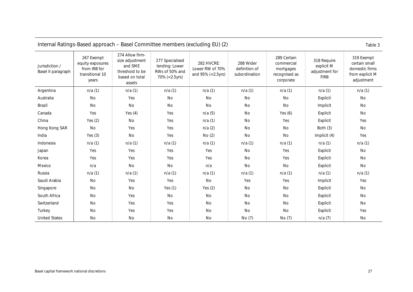|                                      | Internal Ratings-Based approach – Basel Committee members (excluding EU) (2)<br>Table 3 |                                                                                              |                                                                      |                                                    |                                             |                                                                      |                                                            |                                                                                |  |  |
|--------------------------------------|-----------------------------------------------------------------------------------------|----------------------------------------------------------------------------------------------|----------------------------------------------------------------------|----------------------------------------------------|---------------------------------------------|----------------------------------------------------------------------|------------------------------------------------------------|--------------------------------------------------------------------------------|--|--|
| Jurisdiction /<br>Basel II paragraph | 267 Exempt<br>equity exposures<br>from IRB for<br>transitional 10<br>years              | 274 Allow firm-<br>size adjustment<br>and SME<br>threshold to be<br>based on total<br>assets | 277 Specialised<br>lending: Lower<br>RWs of 50% and<br>70% (<2.5yrs) | 282 HVCRE:<br>Lower RW of 70%<br>and 95% (<2.5yrs) | 288 Wider<br>definition of<br>subordination | 289 Certain<br>commercial<br>mortgages<br>recognised as<br>corporate | 318 Require<br>explicit M<br>adjustment for<br><b>FIRB</b> | 319 Exempt<br>certain small<br>domestic firms<br>from explicit M<br>adjustment |  |  |
| Argentina                            | n/a(1)                                                                                  | n/a(1)                                                                                       | n/a(1)                                                               | n/a(1)                                             | n/a(1)                                      | n/a(1)                                                               | n/a(1)                                                     | n/a(1)                                                                         |  |  |
| Australia                            | <b>No</b>                                                                               | Yes                                                                                          | No                                                                   | No                                                 | No                                          | No                                                                   | Explicit                                                   | <b>No</b>                                                                      |  |  |
| Brazil                               | No                                                                                      | No                                                                                           | No                                                                   | No                                                 | No                                          | No                                                                   | Implicit                                                   | No                                                                             |  |  |
| Canada                               | Yes                                                                                     | Yes $(4)$                                                                                    | Yes                                                                  | n/a(5)                                             | No                                          | Yes $(6)$                                                            | Explicit                                                   | No                                                                             |  |  |
| China                                | Yes $(2)$                                                                               | No                                                                                           | Yes                                                                  | n/a(1)                                             | No                                          | Yes                                                                  | Explicit                                                   | Yes                                                                            |  |  |
| Hong Kong SAR                        | No                                                                                      | Yes                                                                                          | Yes                                                                  | n/a(2)                                             | No                                          | No                                                                   | Both (3)                                                   | No                                                                             |  |  |
| India                                | Yes $(3)$                                                                               | No                                                                                           | Yes                                                                  | No(2)                                              | No                                          | No                                                                   | Implicit (4)                                               | Yes                                                                            |  |  |
| Indonesia                            | n/a(1)                                                                                  | n/a(1)                                                                                       | n/a(1)                                                               | n/a(1)                                             | n/a(1)                                      | n/a(1)                                                               | n/a(1)                                                     | n/a(1)                                                                         |  |  |
| Japan                                | Yes                                                                                     | Yes                                                                                          | Yes                                                                  | Yes                                                | No                                          | Yes                                                                  | Explicit                                                   | No                                                                             |  |  |
| Korea                                | Yes                                                                                     | Yes                                                                                          | Yes                                                                  | Yes                                                | No                                          | Yes                                                                  | Explicit                                                   | <b>No</b>                                                                      |  |  |
| Mexico                               | n/a                                                                                     | No                                                                                           | No                                                                   | n/a                                                | No                                          | No                                                                   | Explicit                                                   | No                                                                             |  |  |
| Russia                               | n/a(1)                                                                                  | n/a(1)                                                                                       | n/a(1)                                                               | n/a(1)                                             | n/a(1)                                      | n/a(1)                                                               | n/a(1)                                                     | n/a(1)                                                                         |  |  |
| Saudi Arabia                         | No                                                                                      | Yes                                                                                          | Yes                                                                  | No                                                 | Yes                                         | Yes                                                                  | Implicit                                                   | Yes                                                                            |  |  |
| Singapore                            | No                                                                                      | No                                                                                           | Yes $(1)$                                                            | Yes $(2)$                                          | No                                          | No                                                                   | Explicit                                                   | No                                                                             |  |  |
| South Africa                         | No                                                                                      | Yes                                                                                          | No                                                                   | No                                                 | No                                          | No                                                                   | Explicit                                                   | No                                                                             |  |  |
| Switzerland                          | No                                                                                      | Yes                                                                                          | Yes                                                                  | No                                                 | No                                          | No                                                                   | Explicit                                                   | No                                                                             |  |  |
| Turkey                               | No                                                                                      | Yes                                                                                          | Yes                                                                  | No                                                 | No                                          | No                                                                   | Explicit                                                   | Yes                                                                            |  |  |
| <b>United States</b>                 | <b>No</b>                                                                               | No                                                                                           | No                                                                   | No                                                 | No (7)                                      | No (7)                                                               | n/a(7)                                                     | No                                                                             |  |  |

|  | Internal Ratings-Based approach - Basel Committee members (excluding EU) (2) |  |
|--|------------------------------------------------------------------------------|--|
|  |                                                                              |  |

<span id="page-30-0"></span>Basel capital framework national discretions 27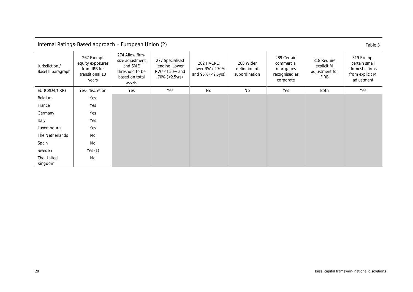<span id="page-31-0"></span>

|                                      | Internal Ratings-Based approach - European Union (2)<br>Table 3            |                                                                                              |                                                                      |                                                    |                                             |                                                                      |                                                            |                                                                                |  |  |
|--------------------------------------|----------------------------------------------------------------------------|----------------------------------------------------------------------------------------------|----------------------------------------------------------------------|----------------------------------------------------|---------------------------------------------|----------------------------------------------------------------------|------------------------------------------------------------|--------------------------------------------------------------------------------|--|--|
| Jurisdiction /<br>Basel II paragraph | 267 Exempt<br>equity exposures<br>from IRB for<br>transitional 10<br>years | 274 Allow firm-<br>size adjustment<br>and SME<br>threshold to be<br>based on total<br>assets | 277 Specialised<br>lending: Lower<br>RWs of 50% and<br>70% (<2.5yrs) | 282 HVCRE:<br>Lower RW of 70%<br>and 95% (<2.5yrs) | 288 Wider<br>definition of<br>subordination | 289 Certain<br>commercial<br>mortgages<br>recognised as<br>corporate | 318 Require<br>explicit M<br>adjustment for<br><b>FIRB</b> | 319 Exempt<br>certain small<br>domestic firms<br>from explicit M<br>adjustment |  |  |
| EU (CRD4/CRR)                        | Yes-discretion                                                             | Yes                                                                                          | Yes                                                                  | No                                                 | No                                          | Yes                                                                  | <b>Both</b>                                                | Yes                                                                            |  |  |
| Belgium                              | Yes                                                                        |                                                                                              |                                                                      |                                                    |                                             |                                                                      |                                                            |                                                                                |  |  |
| France                               | Yes                                                                        |                                                                                              |                                                                      |                                                    |                                             |                                                                      |                                                            |                                                                                |  |  |
| Germany                              | Yes                                                                        |                                                                                              |                                                                      |                                                    |                                             |                                                                      |                                                            |                                                                                |  |  |
| Italy                                | Yes                                                                        |                                                                                              |                                                                      |                                                    |                                             |                                                                      |                                                            |                                                                                |  |  |
| Luxembourg                           | Yes                                                                        |                                                                                              |                                                                      |                                                    |                                             |                                                                      |                                                            |                                                                                |  |  |
| The Netherlands                      | No                                                                         |                                                                                              |                                                                      |                                                    |                                             |                                                                      |                                                            |                                                                                |  |  |
| Spain                                | No                                                                         |                                                                                              |                                                                      |                                                    |                                             |                                                                      |                                                            |                                                                                |  |  |
| Sweden                               | Yes $(1)$                                                                  |                                                                                              |                                                                      |                                                    |                                             |                                                                      |                                                            |                                                                                |  |  |
| The United<br>Kingdom                | No                                                                         |                                                                                              |                                                                      |                                                    |                                             |                                                                      |                                                            |                                                                                |  |  |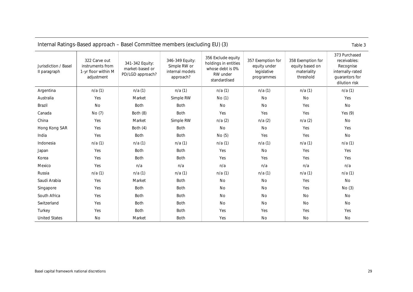<span id="page-32-0"></span>

| Internal Ratings-Based approach – Basel Committee members (excluding EU) (3) |                                                                        |                                                        |                                                                 |                                                                                            |                                                                |                                                                  |                                                                                                   |  |
|------------------------------------------------------------------------------|------------------------------------------------------------------------|--------------------------------------------------------|-----------------------------------------------------------------|--------------------------------------------------------------------------------------------|----------------------------------------------------------------|------------------------------------------------------------------|---------------------------------------------------------------------------------------------------|--|
| Jurisdiction / Basel<br>II paragraph                                         | 322 Carve out<br>instruments from<br>1-yr floor within M<br>adjustment | 341-342 Equity:<br>market-based or<br>PD/LGD approach? | 346-349 Equity:<br>Simple RW or<br>internal models<br>approach? | 356 Exclude equity<br>holdings in entities<br>whose debt is 0%<br>RW under<br>standardised | 357 Exemption for<br>equity under<br>legislative<br>programmes | 358 Exemption for<br>equity based on<br>materiality<br>threshold | 373 Purchased<br>receivables:<br>Recognise<br>internally-rated<br>guarantors for<br>dilution risk |  |
| Argentina                                                                    | n/a(1)                                                                 | n/a(1)                                                 | n/a(1)                                                          | n/a(1)                                                                                     | n/a(1)                                                         | n/a(1)                                                           | n/a(1)                                                                                            |  |
| Australia                                                                    | Yes                                                                    | Market                                                 | Simple RW                                                       | No(1)                                                                                      | No                                                             | No                                                               | Yes                                                                                               |  |
| Brazil                                                                       | No                                                                     | Both                                                   | <b>Both</b>                                                     | No                                                                                         | No                                                             | Yes                                                              | No                                                                                                |  |
| Canada                                                                       | No (7)                                                                 | Both (8)                                               | Both                                                            | Yes                                                                                        | Yes                                                            | Yes                                                              | Yes $(9)$                                                                                         |  |
| China                                                                        | Yes                                                                    | Market                                                 | Simple RW                                                       | n/a(2)                                                                                     | n/a(2)                                                         | n/a(2)                                                           | No                                                                                                |  |
| Hong Kong SAR                                                                | Yes                                                                    | Both (4)                                               | <b>Both</b>                                                     | No                                                                                         | No                                                             | Yes                                                              | Yes                                                                                               |  |
| India                                                                        | Yes                                                                    | Both                                                   | <b>Both</b>                                                     | No(5)                                                                                      | Yes                                                            | Yes                                                              | No                                                                                                |  |
| Indonesia                                                                    | n/a(1)                                                                 | n/a(1)                                                 | n/a(1)                                                          | n/a(1)                                                                                     | n/a(1)                                                         | n/a(1)                                                           | n/a(1)                                                                                            |  |
| Japan                                                                        | Yes                                                                    | <b>Both</b>                                            | <b>Both</b>                                                     | Yes                                                                                        | No                                                             | Yes                                                              | Yes                                                                                               |  |
| Korea                                                                        | Yes                                                                    | Both                                                   | <b>Both</b>                                                     | Yes                                                                                        | Yes                                                            | Yes                                                              | Yes                                                                                               |  |
| Mexico                                                                       | Yes                                                                    | n/a                                                    | n/a                                                             | n/a                                                                                        | n/a                                                            | n/a                                                              | n/a                                                                                               |  |
| Russia                                                                       | n/a(1)                                                                 | n/a(1)                                                 | n/a(1)                                                          | n/a(1)                                                                                     | n/a(1)                                                         | n/a(1)                                                           | n/a(1)                                                                                            |  |
| Saudi Arabia                                                                 | Yes                                                                    | Market                                                 | <b>Both</b>                                                     | No                                                                                         | <b>No</b>                                                      | Yes                                                              | No                                                                                                |  |
| Singapore                                                                    | Yes                                                                    | <b>Both</b>                                            | <b>Both</b>                                                     | No                                                                                         | <b>No</b>                                                      | Yes                                                              | No(3)                                                                                             |  |
| South Africa                                                                 | Yes                                                                    | Both                                                   | <b>Both</b>                                                     | No                                                                                         | No                                                             | <b>No</b>                                                        | No                                                                                                |  |
| Switzerland                                                                  | Yes                                                                    | <b>Both</b>                                            | <b>Both</b>                                                     | No                                                                                         | No                                                             | <b>No</b>                                                        | No                                                                                                |  |
| Turkey                                                                       | Yes                                                                    | <b>Both</b>                                            | <b>Both</b>                                                     | Yes                                                                                        | Yes                                                            | Yes                                                              | Yes                                                                                               |  |
| <b>United States</b>                                                         | <b>No</b>                                                              | Market                                                 | <b>Both</b>                                                     | Yes                                                                                        | No                                                             | No                                                               | No                                                                                                |  |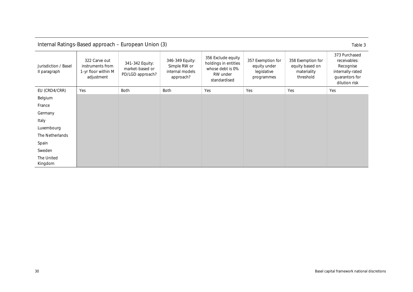<span id="page-33-0"></span>

| Internal Ratings-Based approach - European Union (3)<br>Table 3 |                                                                                                                                                                                                                                                                                                                                                                                                                                         |      |             |     |     |     |                                                                                                   |  |
|-----------------------------------------------------------------|-----------------------------------------------------------------------------------------------------------------------------------------------------------------------------------------------------------------------------------------------------------------------------------------------------------------------------------------------------------------------------------------------------------------------------------------|------|-------------|-----|-----|-----|---------------------------------------------------------------------------------------------------|--|
| Jurisdiction / Basel<br>II paragraph                            | 356 Exclude equity<br>322 Carve out<br>346-349 Equity:<br>357 Exemption for<br>358 Exemption for<br>holdings in entities<br>341-342 Equity:<br>instruments from<br>Simple RW or<br>equity under<br>equity based on<br>whose debt is 0%<br>market-based or<br>internal models<br>1-yr floor within M<br>legislative<br>materiality<br>PD/LGD approach?<br>RW under<br>adjustment<br>threshold<br>approach?<br>programmes<br>standardised |      |             |     |     |     | 373 Purchased<br>receivables:<br>Recognise<br>internally-rated<br>guarantors for<br>dilution risk |  |
| EU (CRD4/CRR)                                                   | Yes                                                                                                                                                                                                                                                                                                                                                                                                                                     | Both | <b>Both</b> | Yes | Yes | Yes | Yes                                                                                               |  |
| Belgium                                                         |                                                                                                                                                                                                                                                                                                                                                                                                                                         |      |             |     |     |     |                                                                                                   |  |
| France                                                          |                                                                                                                                                                                                                                                                                                                                                                                                                                         |      |             |     |     |     |                                                                                                   |  |
| Germany                                                         |                                                                                                                                                                                                                                                                                                                                                                                                                                         |      |             |     |     |     |                                                                                                   |  |
| Italy                                                           |                                                                                                                                                                                                                                                                                                                                                                                                                                         |      |             |     |     |     |                                                                                                   |  |
| Luxembourg                                                      |                                                                                                                                                                                                                                                                                                                                                                                                                                         |      |             |     |     |     |                                                                                                   |  |
| The Netherlands                                                 |                                                                                                                                                                                                                                                                                                                                                                                                                                         |      |             |     |     |     |                                                                                                   |  |
| Spain                                                           |                                                                                                                                                                                                                                                                                                                                                                                                                                         |      |             |     |     |     |                                                                                                   |  |
| Sweden                                                          |                                                                                                                                                                                                                                                                                                                                                                                                                                         |      |             |     |     |     |                                                                                                   |  |
| The United<br>Kingdom                                           |                                                                                                                                                                                                                                                                                                                                                                                                                                         |      |             |     |     |     |                                                                                                   |  |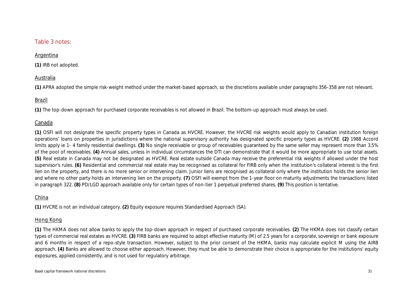### Table 3 notes:

### Argentina

**(1)** IRB not adopted.

### Australia

**(1)** APRA adopted the simple risk-weight method under the market-based approach, so the discretions available under paragraphs 356-358 are not relevant.

### Brazil

**(1)** The top-down approach for purchased corporate receivables is not allowed in Brazil. The bottom-up approach must always be used.

### Canada

**(1)** OSFI will not designate the specific property types in Canada as HVCRE. However, the HVCRE risk weights would apply to Canadian institution foreign operations' loans on properties in jurisdictions where the national supervisory authority has designated specific property types as HVCRE. **(2)** 1988 Accord limits apply ie 1- 4 family residential dwellings. **(3)** No single receivable or group of receivables guaranteed by the same seller may represent more than 3.5% of the pool of receivables. **(4)** Annual sales, unless in individual circumstances the DTI can demonstrate that it would be more appropriate to use total assets. **(5)** Real estate in Canada may not be designated as HVCRE. Real estate outside Canada may receive the preferential risk weights if allowed under the host supervisor's rules. **(6)** Residential and commercial real estate may be recognised as collateral for FIRB only when the institution's collateral interest is the first lien on the property, and there is no more senior or intervening claim. Junior liens are recognised as collateral only where the institution holds the senior lien and where no other party holds an intervening lien on the property. **(7)** OSFI will exempt from the 1-year floor on maturity adjustments the transactions listed in paragraph 322. **(8)** PD/LGD approach available only for certain types of non-tier 1 perpetual preferred shares. **(9)** This position is tentative.

### China

**(1)** HVCRE is not an individual category. **(2)** Equity exposure requires Standardised Approach (SA).

### Hong Kong

**(1)** The HKMA does not allow banks to apply the top-down approach in respect of purchased corporate receivables. **(2)** The HKMA does not classify certain types of commercial real estates as HVCRE. **(3)** FIRB banks are required to adopt effective maturity (M) of 2.5 years for a corporate, sovereign or bank exposure and 6 months in respect of a repo-style transaction. However, subject to the prior consent of the HKMA, banks may calculate explicit M using the AIRB approach. **(4)** Banks are allowed to choose either approach. However, they must be able to demonstrate their choice is appropriate for the institutions' equity exposures, applied consistently, and is not used for regulatory arbitrage.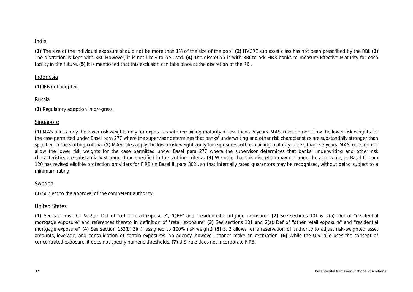### India

**(1)** The size of the individual exposure should not be more than 1% of the size of the pool. **(2)** HVCRE sub asset class has not been prescribed by the RBI. **(3)** The discretion is kept with RBI. However, it is not likely to be used. **(4)** The discretion is with RBI to ask FIRB banks to measure Effective Maturity for each facility in the future. **(5)** It is mentioned that this exclusion can take place at the discretion of the RBI.

### Indonesia

**(1)** IRB not adopted.

### Russia

**(1)** Regulatory adoption in progress.

### Singapore

**(1)** MAS rules apply the lower risk weights only for exposures with remaining maturity of less than 2.5 years. MAS' rules do not allow the lower risk weights for the case permitted under Basel para 277 where the supervisor determines that banks' underwriting and other risk characteristics are substantially stronger than specified in the slotting criteria. **(2)** MAS rules apply the lower risk weights only for exposures with remaining maturity of less than 2.5 years. MAS' rules do not allow the lower risk weights for the case permitted under Basel para 277 where the supervisor determines that banks' underwriting and other risk characteristics are substantially stronger than specified in the slotting criteria**. (3)** We note that this discretion may no longer be applicable, as Basel III para 120 has revised eligible protection providers for FIRB (in Basel II, para 302), so that internally rated guarantors may be recognised, without being subject to a minimum rating.

### Sweden

**(1**) Subject to the approval of the competent authority.

### United States

**(1)** See sections 101 & 2(a): Def of "other retail exposure", "QRE" and "residential mortgage exposure". **(2)** See sections 101 & 2(a): Def of "residential mortgage exposure" and references thereto in definition of "retail exposure" **(3)** See sections 101 and 2(a): Def of "other retail exposure" and "residential mortgage exposure**" (4)** See section 152(b)(3)(ii) (assigned to 100% risk weight**) (5)** S. 2 allows for a reservation of authority to adjust risk-weighted asset amounts, leverage, and consolidation of certain exposures. An agency, however, cannot make an exemption. **(6)** While the U.S. rule uses the concept of concentrated exposure, it does not specify numeric thresholds. **(7)** U.S. rule does not incorporate FIRB.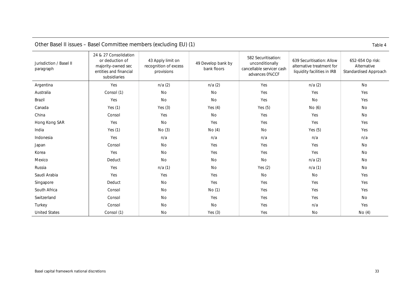<span id="page-36-0"></span>

| Other base in issues - baser Committee members (excluding EO) (T)<br>Table 4 |                                                                                                          |                                                          |                                   |                                                                                       |                                                                                       |                                                          |  |  |
|------------------------------------------------------------------------------|----------------------------------------------------------------------------------------------------------|----------------------------------------------------------|-----------------------------------|---------------------------------------------------------------------------------------|---------------------------------------------------------------------------------------|----------------------------------------------------------|--|--|
| Jurisdiction / Basel II<br>paragraph                                         | 24 & 27 Consolidation<br>or deduction of<br>majority-owned sec<br>entities and financial<br>subsidiaries | 43 Apply limit on<br>recognition of excess<br>provisions | 49 Develop bank by<br>bank floors | 582 Securitisation:<br>unconditionally<br>cancellable servicer cash<br>advances 0%CCF | 639 Securitisation: Allow<br>alternative treatment for<br>liquidity facilities in IRB | 652-654 Op risk:<br>Alternative<br>Standardised Approach |  |  |
| Argentina                                                                    | Yes                                                                                                      | n/a(2)                                                   | n/a(2)                            | Yes                                                                                   | n/a(2)                                                                                | No                                                       |  |  |
| Australia                                                                    | Consol (1)                                                                                               | No                                                       | No                                | Yes                                                                                   | Yes                                                                                   | Yes                                                      |  |  |
| Brazil                                                                       | Yes                                                                                                      | No                                                       | No                                | Yes                                                                                   | No                                                                                    | Yes                                                      |  |  |
| Canada                                                                       | Yes $(1)$                                                                                                | Yes $(3)$                                                | Yes $(4)$                         | Yes $(5)$                                                                             | No (6)                                                                                | No                                                       |  |  |
| China                                                                        | Consol                                                                                                   | Yes                                                      | No                                | Yes                                                                                   | Yes                                                                                   | No                                                       |  |  |
| Hong Kong SAR                                                                | Yes                                                                                                      | No                                                       | Yes                               | Yes                                                                                   | Yes                                                                                   | Yes                                                      |  |  |
| India                                                                        | Yes $(1)$                                                                                                | No(3)                                                    | No(4)                             | <b>No</b>                                                                             | Yes $(5)$                                                                             | Yes                                                      |  |  |
| Indonesia                                                                    | Yes                                                                                                      | n/a                                                      | n/a                               | n/a                                                                                   | n/a                                                                                   | n/a                                                      |  |  |
| Japan                                                                        | Consol                                                                                                   | <b>No</b>                                                | Yes                               | Yes                                                                                   | Yes                                                                                   | No                                                       |  |  |
| Korea                                                                        | Yes                                                                                                      | No                                                       | Yes                               | Yes                                                                                   | Yes                                                                                   | No                                                       |  |  |
| Mexico                                                                       | Deduct                                                                                                   | No                                                       | No                                | No                                                                                    | n/a(2)                                                                                | No                                                       |  |  |
| Russia                                                                       | Yes                                                                                                      | n/a(1)                                                   | <b>No</b>                         | Yes $(2)$                                                                             | n/a(1)                                                                                | No                                                       |  |  |
| Saudi Arabia                                                                 | Yes                                                                                                      | Yes                                                      | Yes                               | <b>No</b>                                                                             | No                                                                                    | Yes                                                      |  |  |
| Singapore                                                                    | Deduct                                                                                                   | No                                                       | Yes                               | Yes                                                                                   | Yes                                                                                   | Yes                                                      |  |  |
| South Africa                                                                 | Consol                                                                                                   | No                                                       | No(1)                             | Yes                                                                                   | Yes                                                                                   | Yes                                                      |  |  |
| Switzerland                                                                  | Consol                                                                                                   | No                                                       | Yes                               | Yes                                                                                   | Yes                                                                                   | No                                                       |  |  |
| Turkey                                                                       | Consol                                                                                                   | No                                                       | No                                | Yes                                                                                   | n/a                                                                                   | Yes                                                      |  |  |
| <b>United States</b>                                                         | Consol (1)                                                                                               | No                                                       | Yes $(3)$                         | Yes                                                                                   | No                                                                                    | No(4)                                                    |  |  |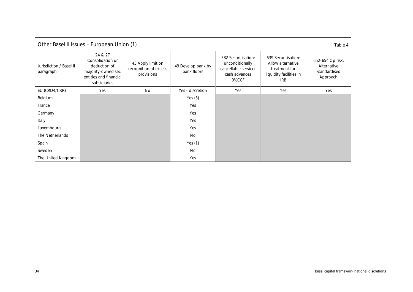| Other Basel II issues – European Union (1) | Table 4 |
|--------------------------------------------|---------|
|--------------------------------------------|---------|

<span id="page-37-0"></span>

| Jurisdiction / Basel II<br>paragraph | 24 & 27<br>Consolidation or<br>deduction of<br>majority-owned sec<br>entities and financial<br>subsidiaries | 43 Apply limit on<br>recognition of excess<br>provisions | 49 Develop bank by<br>bank floors | 582 Securitisation:<br>unconditionally<br>cancellable servicer<br>cash advances<br>0%CCF | 639 Securitisation:<br>Allow alternative<br>treatment for<br>liquidity facilities in<br><b>IRB</b> | 652-654 Op risk:<br>Alternative<br>Standardised<br>Approach |
|--------------------------------------|-------------------------------------------------------------------------------------------------------------|----------------------------------------------------------|-----------------------------------|------------------------------------------------------------------------------------------|----------------------------------------------------------------------------------------------------|-------------------------------------------------------------|
| EU (CRD4/CRR)                        | Yes                                                                                                         | <b>No</b>                                                | Yes - discretion                  | Yes                                                                                      | Yes                                                                                                | Yes                                                         |
| Belgium                              |                                                                                                             |                                                          | Yes $(3)$                         |                                                                                          |                                                                                                    |                                                             |
| France                               |                                                                                                             |                                                          | Yes                               |                                                                                          |                                                                                                    |                                                             |
| Germany                              |                                                                                                             |                                                          | Yes                               |                                                                                          |                                                                                                    |                                                             |
| Italy                                |                                                                                                             |                                                          | Yes                               |                                                                                          |                                                                                                    |                                                             |
| Luxembourg                           |                                                                                                             |                                                          | Yes                               |                                                                                          |                                                                                                    |                                                             |
| The Netherlands                      |                                                                                                             |                                                          | <b>No</b>                         |                                                                                          |                                                                                                    |                                                             |
| Spain                                |                                                                                                             |                                                          | Yes $(1)$                         |                                                                                          |                                                                                                    |                                                             |
| Sweden                               |                                                                                                             |                                                          | <b>No</b>                         |                                                                                          |                                                                                                    |                                                             |
| The United Kingdom                   |                                                                                                             |                                                          | Yes                               |                                                                                          |                                                                                                    |                                                             |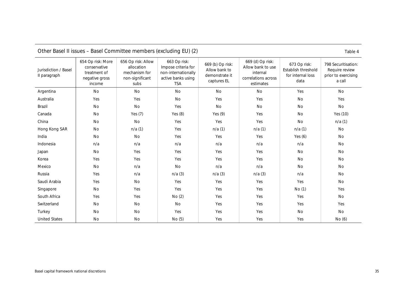<span id="page-38-0"></span>

| Jurisdiction / Basel<br>II paragraph | 654 Op risk: More<br>conservative<br>treatment of<br>negative gross<br>income | 656 Op risk: Allow<br>allocation<br>mechanism for<br>non-significant<br>subs | 663 Op risk:<br>Impose criteria for<br>non-internationally<br>active banks using<br><b>TSA</b> | 669 (b) Op risk:<br>Allow bank to<br>demonstrate it<br>captures EL | 669 (d) Op risk:<br>Allow bank to use<br>internal<br>correlations across<br>estimates | 673 Op risk:<br>Establish threshold<br>for internal loss<br>data | 798 Securitisation:<br>Require review<br>prior to exercising<br>a call |
|--------------------------------------|-------------------------------------------------------------------------------|------------------------------------------------------------------------------|------------------------------------------------------------------------------------------------|--------------------------------------------------------------------|---------------------------------------------------------------------------------------|------------------------------------------------------------------|------------------------------------------------------------------------|
| Argentina                            | <b>No</b>                                                                     | No                                                                           | <b>No</b>                                                                                      | <b>No</b>                                                          | <b>No</b>                                                                             | Yes                                                              | <b>No</b>                                                              |
| Australia                            | Yes                                                                           | Yes                                                                          | No                                                                                             | Yes                                                                | Yes                                                                                   | No                                                               | Yes                                                                    |
| Brazil                               | No                                                                            | No                                                                           | Yes                                                                                            | No                                                                 | <b>No</b>                                                                             | <b>No</b>                                                        | <b>No</b>                                                              |
| Canada                               | No                                                                            | Yes $(7)$                                                                    | Yes $(8)$                                                                                      | Yes $(9)$                                                          | Yes                                                                                   | No                                                               | Yes (10)                                                               |
| China                                | No                                                                            | No                                                                           | Yes                                                                                            | Yes                                                                | Yes                                                                                   | No                                                               | n/a(1)                                                                 |
| Hong Kong SAR                        | No                                                                            | n/a(1)                                                                       | Yes                                                                                            | n/a(1)                                                             | n/a(1)                                                                                | n/a(1)                                                           | No                                                                     |
| India                                | <b>No</b>                                                                     | No                                                                           | Yes                                                                                            | Yes                                                                | Yes                                                                                   | Yes $(6)$                                                        | <b>No</b>                                                              |
| Indonesia                            | n/a                                                                           | n/a                                                                          | n/a                                                                                            | n/a                                                                | n/a                                                                                   | n/a                                                              | <b>No</b>                                                              |
| Japan                                | <b>No</b>                                                                     | Yes                                                                          | Yes                                                                                            | Yes                                                                | Yes                                                                                   | <b>No</b>                                                        | No                                                                     |
| Korea                                | Yes                                                                           | Yes                                                                          | Yes                                                                                            | Yes                                                                | Yes                                                                                   | <b>No</b>                                                        | No                                                                     |
| Mexico                               | <b>No</b>                                                                     | n/a                                                                          | <b>No</b>                                                                                      | n/a                                                                | n/a                                                                                   | <b>No</b>                                                        | <b>No</b>                                                              |
| Russia                               | Yes                                                                           | n/a                                                                          | n/a(3)                                                                                         | n/a(3)                                                             | n/a(3)                                                                                | n/a                                                              | No                                                                     |
| Saudi Arabia                         | Yes                                                                           | No                                                                           | Yes                                                                                            | Yes                                                                | Yes                                                                                   | Yes                                                              | No                                                                     |
| Singapore                            | No                                                                            | Yes                                                                          | Yes                                                                                            | Yes                                                                | Yes                                                                                   | No(1)                                                            | Yes                                                                    |
| South Africa                         | Yes                                                                           | Yes                                                                          | No (2)                                                                                         | Yes                                                                | Yes                                                                                   | Yes                                                              | <b>No</b>                                                              |
| Switzerland                          | No                                                                            | No                                                                           | No                                                                                             | Yes                                                                | Yes                                                                                   | Yes                                                              | Yes                                                                    |
| Turkey                               | No                                                                            | No                                                                           | Yes                                                                                            | Yes                                                                | Yes                                                                                   | No                                                               | No                                                                     |
| <b>United States</b>                 | No                                                                            | No                                                                           | No(5)                                                                                          | Yes                                                                | Yes                                                                                   | Yes                                                              | No (6)                                                                 |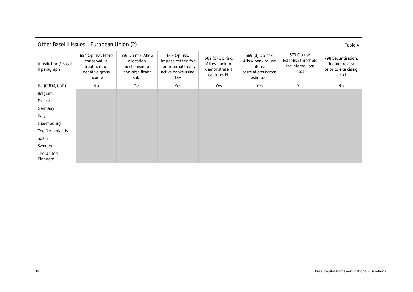Other Basel II issues – European Union (2) Table 4

<span id="page-39-0"></span>

| Jurisdiction / Basel<br>Il paragraph | 654 Op risk: More<br>conservative<br>treatment of<br>negative gross<br>income | 656 Op risk: Allow<br>allocation<br>mechanism for<br>non-significant<br>subs | 663 Op risk:<br>Impose criteria for<br>non-internationally<br>active banks using<br>TSA | 669 (b) Op risk:<br>Allow bank to<br>demonstrate it<br>captures EL | 669 (d) Op risk:<br>Allow bank to use<br>internal<br>correlations across<br>estimates | 673 Op risk:<br>Establish threshold<br>for internal loss<br>data | 798 Securitisation:<br>Require review<br>prior to exercising<br>a call |
|--------------------------------------|-------------------------------------------------------------------------------|------------------------------------------------------------------------------|-----------------------------------------------------------------------------------------|--------------------------------------------------------------------|---------------------------------------------------------------------------------------|------------------------------------------------------------------|------------------------------------------------------------------------|
| EU (CRD4/CRR)                        | No                                                                            | Yes                                                                          | Yes                                                                                     | Yes                                                                | Yes                                                                                   | Yes                                                              | No                                                                     |
| Belgium                              |                                                                               |                                                                              |                                                                                         |                                                                    |                                                                                       |                                                                  |                                                                        |
| France                               |                                                                               |                                                                              |                                                                                         |                                                                    |                                                                                       |                                                                  |                                                                        |
| Germany                              |                                                                               |                                                                              |                                                                                         |                                                                    |                                                                                       |                                                                  |                                                                        |
| Italy                                |                                                                               |                                                                              |                                                                                         |                                                                    |                                                                                       |                                                                  |                                                                        |
| Luxembourg                           |                                                                               |                                                                              |                                                                                         |                                                                    |                                                                                       |                                                                  |                                                                        |
| The Netherlands                      |                                                                               |                                                                              |                                                                                         |                                                                    |                                                                                       |                                                                  |                                                                        |
| Spain                                |                                                                               |                                                                              |                                                                                         |                                                                    |                                                                                       |                                                                  |                                                                        |
| Sweden                               |                                                                               |                                                                              |                                                                                         |                                                                    |                                                                                       |                                                                  |                                                                        |
| The United<br>Kingdom                |                                                                               |                                                                              |                                                                                         |                                                                    |                                                                                       |                                                                  |                                                                        |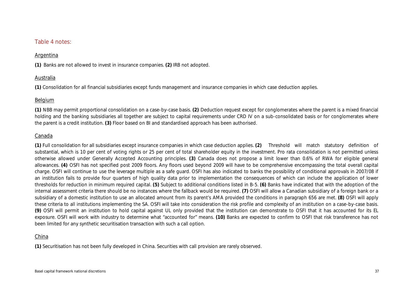### Table 4 notes:

### Argentina

**(1)** Banks are not allowed to invest in insurance companies. **(2)** IRB not adopted.

### Australia

**(1)** Consolidation for all financial subsidiaries except funds management and insurance companies in which case deduction applies.

### Belgium

**(1)** NBB may permit proportional consolidation on a case-by-case basis. **(2)** Deduction request except for conglomerates where the parent is a mixed financial holding and the banking subsidiaries all together are subject to capital requirements under CRD IV on a sub-consolidated basis or for conglomerates where the parent is a credit institution. **(3)** Floor based on BI and standardised approach has been authorised.

### Canada

**(1)** Full consolidation for all subsidiaries except insurance companies in which case deduction applies. **(2)** Threshold will match statutory definition of substantial, which is 10 per cent of voting rights or 25 per cent of total shareholder equity in the investment. Pro rata consolidation is not permitted unless otherwise allowed under Generally Accepted Accounting principles. **(3)** Canada does not propose a limit lower than 0.6% of RWA for eligible general allowances. **(4)** OSFI has not specified post 2009 floors. Any floors used beyond 2009 will have to be comprehensive encompassing the total overall capital charge. OSFI will continue to use the leverage multiple as a safe guard. OSFI has also indicated to banks the possibility of conditional approvals in 2007/08 if an institution fails to provide four quarters of high quality data prior to implementation the consequences of which can include the application of lower thresholds for reduction in minimum required capital. **(5)** Subject to additional conditions listed in B-5. **(6)** Banks have indicated that with the adoption of the internal assessment criteria there should be no instances where the fallback would be required. **(7)** OSFI will allow a Canadian subsidiary of a foreign bank or a subsidiary of a domestic institution to use an allocated amount from its parent's AMA provided the conditions in paragraph 656 are met. **(8)** OSFI will apply these criteria to all institutions implementing the SA. OSFI will take into consideration the risk profile and complexity of an institution on a case-by-case basis. **(9)** OSFI will permit an institution to hold capital against UL only provided that the institution can demonstrate to OSFI that it has accounted for its EL exposure. OSFI will work with industry to determine what "accounted for" means. **(10)** Banks are expected to confirm to OSFI that risk transference has not been limited for any synthetic securitisation transaction with such a call option.

### China

**(1)** Securitisation has not been fully developed in China. Securities with call provision are rarely observed.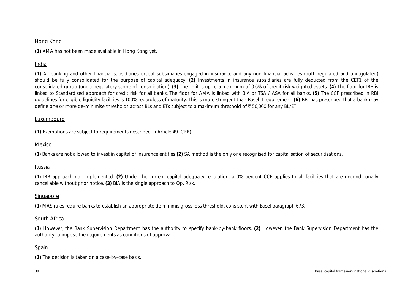### Hong Kong

**(1)** AMA has not been made available in Hong Kong yet.

### India

**(1)** All banking and other financial subsidiaries except subsidiaries engaged in insurance and any non-financial activities (both regulated and unregulated) should be fully consolidated for the purpose of capital adequacy. **(2)** Investments in insurance subsidiaries are fully deducted from the CET1 of the consolidated group (under regulatory scope of consolidation). **(3)** The limit is up to a maximum of 0.6% of credit risk weighted assets. **(4)** The floor for IRB is linked to Standardised approach for credit risk for all banks. The floor for AMA is linked with BIA or TSA / ASA for all banks. **(5)** The CCF prescribed in RBI guidelines for eligible liquidity facilities is 100% regardless of maturity. This is more stringent than Basel II requirement. **(6)** RBI has prescribed that a bank may define one or more de-minimise thresholds across BLs and ETs subject to a maximum threshold of ₹ 50,000 for any BL/ET.

### Luxembourg

**(1)** Exemptions are subject to requirements described in Article 49 (CRR).

### Mexico

**(1**) Banks are not allowed to invest in capital of insurance entities **(2)** SA method is the only one recognised for capitalisation of securitisations.

### Russia

**(1**) IRB approach not implemented. **(2)** Under the current capital adequacy regulation, a 0% percent CCF applies to all facilities that are unconditionally cancellable without prior notice. **(3)** BIA is the single approach to Op. Risk.

### Singapore

**(1**) MAS rules require banks to establish an appropriate de minimis gross loss threshold, consistent with Basel paragraph 673.

### South Africa

**(1**) However, the Bank Supervision Department has the authority to specify bank-by-bank floors. **(2)** However, the Bank Supervision Department has the authority to impose the requirements as conditions of approval.

### Spain

**(1)** The decision is taken on a case-by-case basis.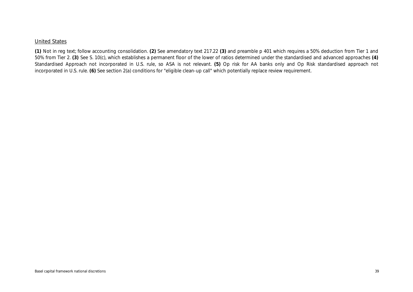### United States

**(1)** Not in reg text; follow accounting consolidation. **(2)** See amendatory text 217.22 **(3)** and preamble p 401 which requires a 50% deduction from Tier 1 and 50% from Tier 2. **(3)** See S. 10(c), which establishes a permanent floor of the lower of ratios determined under the standardised and advanced approaches **(4)** Standardised Approach not incorporated in U.S. rule, so ASA is not relevant. **(5)** Op risk for AA banks only and Op Risk standardised approach not incorporated in U.S. rule. **(6)** See section 2(a) conditions for "eligible clean-up call" which potentially replace review requirement.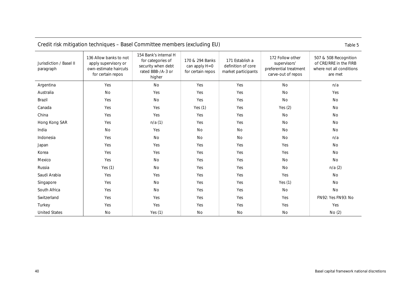<span id="page-43-0"></span>

| Credit risk initigation techniques – basel Committee members (excluding EO)<br>Taple 5 |                                                                                              |                                                                                                 |                                                       |                                                              |                                                                                  |                                                                                        |  |  |
|----------------------------------------------------------------------------------------|----------------------------------------------------------------------------------------------|-------------------------------------------------------------------------------------------------|-------------------------------------------------------|--------------------------------------------------------------|----------------------------------------------------------------------------------|----------------------------------------------------------------------------------------|--|--|
| Jurisdiction / Basel II<br>paragraph                                                   | 136 Allow banks to not<br>apply supervisory or<br>own-estimate haircuts<br>for certain repos | 154 Bank's internal H<br>for categories of<br>security when debt<br>rated BBB-/A-3 or<br>higher | 170 & 294 Banks<br>can apply H=0<br>for certain repos | 171 Establish a<br>definition of core<br>market participants | 172 Follow other<br>supervisors'<br>preferential treatment<br>carve-out of repos | 507 & 508 Recognition<br>of CRE/RRE in the FIRB<br>where not all conditions<br>are met |  |  |
| Argentina                                                                              | Yes                                                                                          | No                                                                                              | Yes                                                   | Yes                                                          | <b>No</b>                                                                        | n/a                                                                                    |  |  |
| Australia                                                                              | No                                                                                           | Yes                                                                                             | Yes                                                   | Yes                                                          | No                                                                               | Yes                                                                                    |  |  |
| Brazil                                                                                 | Yes                                                                                          | <b>No</b>                                                                                       | Yes                                                   | Yes                                                          | <b>No</b>                                                                        | No                                                                                     |  |  |
| Canada                                                                                 | Yes                                                                                          | Yes                                                                                             | Yes $(1)$                                             | Yes                                                          | Yes $(2)$                                                                        | No                                                                                     |  |  |
| China                                                                                  | Yes                                                                                          | Yes                                                                                             | Yes                                                   | Yes                                                          | No                                                                               | No                                                                                     |  |  |
| Hong Kong SAR                                                                          | Yes                                                                                          | n/a(1)                                                                                          | Yes                                                   | Yes                                                          | <b>No</b>                                                                        | <b>No</b>                                                                              |  |  |
| India                                                                                  | No                                                                                           | Yes                                                                                             | No                                                    | <b>No</b>                                                    | <b>No</b>                                                                        | <b>No</b>                                                                              |  |  |
| Indonesia                                                                              | Yes                                                                                          | No                                                                                              | <b>No</b>                                             | No                                                           | No                                                                               | n/a                                                                                    |  |  |
| Japan                                                                                  | Yes                                                                                          | Yes                                                                                             | Yes                                                   | Yes                                                          | Yes                                                                              | No                                                                                     |  |  |
| Korea                                                                                  | Yes                                                                                          | Yes                                                                                             | Yes                                                   | Yes                                                          | Yes                                                                              | No                                                                                     |  |  |
| Mexico                                                                                 | Yes                                                                                          | No                                                                                              | Yes                                                   | Yes                                                          | No                                                                               | No                                                                                     |  |  |
| Russia                                                                                 | Yes $(1)$                                                                                    | No                                                                                              | Yes                                                   | Yes                                                          | No                                                                               | n/a(2)                                                                                 |  |  |
| Saudi Arabia                                                                           | Yes                                                                                          | Yes                                                                                             | Yes                                                   | Yes                                                          | Yes                                                                              | No                                                                                     |  |  |
| Singapore                                                                              | Yes                                                                                          | No                                                                                              | Yes                                                   | Yes                                                          | Yes $(1)$                                                                        | No                                                                                     |  |  |
| South Africa                                                                           | Yes                                                                                          | No                                                                                              | Yes                                                   | Yes                                                          | No                                                                               | <b>No</b>                                                                              |  |  |
| Switzerland                                                                            | Yes                                                                                          | Yes                                                                                             | Yes                                                   | Yes                                                          | Yes                                                                              | FN92: Yes FN93: No                                                                     |  |  |
| Turkey                                                                                 | Yes                                                                                          | Yes                                                                                             | Yes                                                   | Yes                                                          | Yes                                                                              | Yes                                                                                    |  |  |
| <b>United States</b>                                                                   | No                                                                                           | Yes $(1)$                                                                                       | No                                                    | No                                                           | No                                                                               | No(2)                                                                                  |  |  |

### Credit risk mitigation techniques – Basel Committee members (excluding EU) Table 5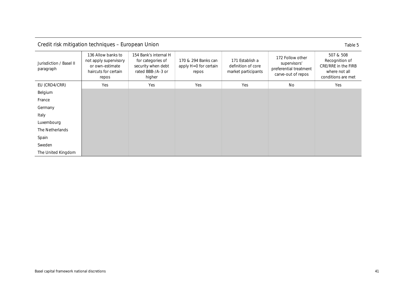| Credit risk mitigation techniques - European Union |  |
|----------------------------------------------------|--|
|                                                    |  |

|--|--|

<span id="page-44-0"></span>

| Jurisdiction / Basel II<br>paragraph | 136 Allow banks to<br>not apply supervisory<br>or own-estimate<br>haircuts for certain<br>repos | 154 Bank's internal H<br>for categories of<br>security when debt<br>rated BBB-/A-3 or<br>higher | 170 & 294 Banks can<br>apply H=0 for certain<br>repos | 171 Establish a<br>definition of core<br>market participants | 172 Follow other<br>supervisors'<br>preferential treatment<br>carve-out of repos | 507 & 508<br>Recognition of<br>CRE/RRE in the FIRB<br>where not all<br>conditions are met |
|--------------------------------------|-------------------------------------------------------------------------------------------------|-------------------------------------------------------------------------------------------------|-------------------------------------------------------|--------------------------------------------------------------|----------------------------------------------------------------------------------|-------------------------------------------------------------------------------------------|
| EU (CRD4/CRR)                        | Yes                                                                                             | Yes                                                                                             | Yes                                                   | Yes                                                          | <b>No</b>                                                                        | Yes                                                                                       |
| Belgium                              |                                                                                                 |                                                                                                 |                                                       |                                                              |                                                                                  |                                                                                           |
| France                               |                                                                                                 |                                                                                                 |                                                       |                                                              |                                                                                  |                                                                                           |
| Germany                              |                                                                                                 |                                                                                                 |                                                       |                                                              |                                                                                  |                                                                                           |
| Italy                                |                                                                                                 |                                                                                                 |                                                       |                                                              |                                                                                  |                                                                                           |
| Luxembourg                           |                                                                                                 |                                                                                                 |                                                       |                                                              |                                                                                  |                                                                                           |
| The Netherlands                      |                                                                                                 |                                                                                                 |                                                       |                                                              |                                                                                  |                                                                                           |
| Spain                                |                                                                                                 |                                                                                                 |                                                       |                                                              |                                                                                  |                                                                                           |
| Sweden                               |                                                                                                 |                                                                                                 |                                                       |                                                              |                                                                                  |                                                                                           |
| The United Kingdom                   |                                                                                                 |                                                                                                 |                                                       |                                                              |                                                                                  |                                                                                           |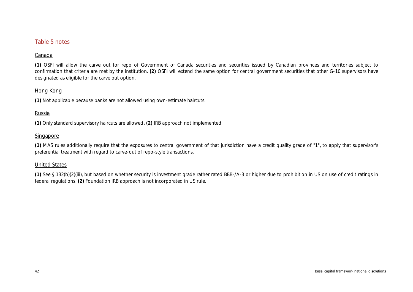### Table 5 notes

### Canada

**(1)** OSFI will allow the carve out for repo of Government of Canada securities and securities issued by Canadian provinces and territories subject to confirmation that criteria are met by the institution. **(2)** OSFI will extend the same option for central government securities that other G-10 supervisors have designated as eligible for the carve out option.

### Hong Kong

**(1)** Not applicable because banks are not allowed using own-estimate haircuts.

### Russia

**(1)** Only standard supervisory haircuts are allowed**. (2)** IRB approach not implemented

### Singapore

**(1)** MAS rules additionally require that the exposures to central government of that jurisdiction have a credit quality grade of "1", to apply that supervisor's preferential treatment with regard to carve-out of repo-style transactions.

### United States

**(1)** See § 132(b)(2)(iii), but based on whether security is investment grade rather rated BBB-/A-3 or higher due to prohibition in US on use of credit ratings in federal regulations. **(2)** Foundation IRB approach is not incorporated in US rule.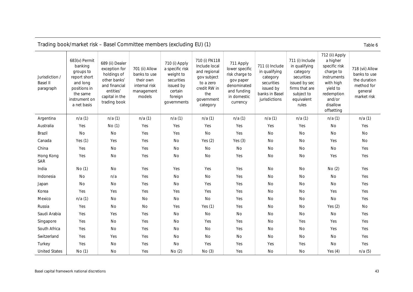<span id="page-46-0"></span>

|                                                | Trading book/market risk - Basel Committee members (excluding EU) (1)                                                         |                                                                                                                                 |                                                                                      |                                                                                                               |                                                                                                                             |                                                                                                                     |                                                                                                            |                                                                                                                                    |                                                                                                                                                    | Table 6                                                                                 |
|------------------------------------------------|-------------------------------------------------------------------------------------------------------------------------------|---------------------------------------------------------------------------------------------------------------------------------|--------------------------------------------------------------------------------------|---------------------------------------------------------------------------------------------------------------|-----------------------------------------------------------------------------------------------------------------------------|---------------------------------------------------------------------------------------------------------------------|------------------------------------------------------------------------------------------------------------|------------------------------------------------------------------------------------------------------------------------------------|----------------------------------------------------------------------------------------------------------------------------------------------------|-----------------------------------------------------------------------------------------|
| Jurisdiction /<br><b>Basel II</b><br>paragraph | 683(v) Permit<br>banking<br>groups to<br>report short<br>and long<br>positions in<br>the same<br>instrument on<br>a net basis | 689 (ii) Dealer<br>exception for<br>holdings of<br>other banks'<br>and financial<br>entities'<br>capital in the<br>trading book | 701 (ii) Allow<br>banks to use<br>their own<br>internal risk<br>management<br>models | 710 (i) Apply<br>a specific risk<br>weight to<br>securities<br>issued by<br>certain<br>foreign<br>governments | 710 (i) FN118<br>Include local<br>and regional<br>gov subject<br>to a zero<br>credit RW in<br>the<br>government<br>category | 711 Apply<br>lower specific<br>risk charge to<br>gov paper<br>denominated<br>and funding<br>in domestic<br>currency | 711 (i) Include<br>in qualifying<br>category<br>securities<br>issued by<br>banks in Basel<br>jurisdictions | 711 (i) Include<br>in qualifying<br>category<br>securities<br>issued by sec<br>firms that are<br>subject to<br>equivalent<br>rules | 712 (ii) Apply<br>a higher<br>specific risk<br>charge to<br>instruments<br>with high<br>yield to<br>redemption<br>and/or<br>disallow<br>offsetting | 718 (vii) Allow<br>banks to use<br>the duration<br>method for<br>general<br>market risk |
| Argentina                                      | n/a(1)                                                                                                                        | n/a(1)                                                                                                                          | n/a(1)                                                                               | n/a(1)                                                                                                        | n/a(1)                                                                                                                      | n/a(1)                                                                                                              | n/a(1)                                                                                                     | n/a(1)                                                                                                                             | n/a(1)                                                                                                                                             | n/a(1)                                                                                  |
| Australia                                      | Yes                                                                                                                           | No (1)                                                                                                                          | Yes                                                                                  | Yes                                                                                                           | Yes                                                                                                                         | Yes                                                                                                                 | Yes                                                                                                        | Yes                                                                                                                                | No                                                                                                                                                 | Yes                                                                                     |
| Brazil                                         | No                                                                                                                            | No                                                                                                                              | Yes                                                                                  | Yes                                                                                                           | No                                                                                                                          | Yes                                                                                                                 | No                                                                                                         | No                                                                                                                                 | No                                                                                                                                                 | No                                                                                      |
| Canada                                         | Yes $(1)$                                                                                                                     | Yes                                                                                                                             | Yes                                                                                  | No                                                                                                            | Yes $(2)$                                                                                                                   | Yes $(3)$                                                                                                           | No                                                                                                         | No                                                                                                                                 | Yes                                                                                                                                                | No                                                                                      |
| China                                          | Yes                                                                                                                           | No                                                                                                                              | Yes                                                                                  | No                                                                                                            | No                                                                                                                          | No                                                                                                                  | No                                                                                                         | No                                                                                                                                 | No                                                                                                                                                 | Yes                                                                                     |
| Hong Kong<br>SAR                               | Yes                                                                                                                           | No                                                                                                                              | Yes                                                                                  | No                                                                                                            | No                                                                                                                          | Yes                                                                                                                 | No                                                                                                         | No                                                                                                                                 | Yes                                                                                                                                                | Yes                                                                                     |
| India                                          | No(1)                                                                                                                         | No                                                                                                                              | Yes                                                                                  | Yes                                                                                                           | Yes                                                                                                                         | Yes                                                                                                                 | <b>No</b>                                                                                                  | No                                                                                                                                 | No(2)                                                                                                                                              | Yes                                                                                     |
| Indonesia                                      | No                                                                                                                            | n/a                                                                                                                             | Yes                                                                                  | No                                                                                                            | No                                                                                                                          | Yes                                                                                                                 | No                                                                                                         | No                                                                                                                                 | No                                                                                                                                                 | Yes                                                                                     |
| Japan                                          | No                                                                                                                            | No                                                                                                                              | Yes                                                                                  | No                                                                                                            | Yes                                                                                                                         | Yes                                                                                                                 | No                                                                                                         | No                                                                                                                                 | No                                                                                                                                                 | Yes                                                                                     |
| Korea                                          | Yes                                                                                                                           | Yes                                                                                                                             | Yes                                                                                  | Yes                                                                                                           | Yes                                                                                                                         | Yes                                                                                                                 | No                                                                                                         | No                                                                                                                                 | Yes                                                                                                                                                | Yes                                                                                     |
| Mexico                                         | n/a(1)                                                                                                                        | No                                                                                                                              | <b>No</b>                                                                            | No                                                                                                            | No                                                                                                                          | Yes                                                                                                                 | No                                                                                                         | No                                                                                                                                 | No                                                                                                                                                 | Yes                                                                                     |
| Russia                                         | Yes                                                                                                                           | No                                                                                                                              | <b>No</b>                                                                            | Yes                                                                                                           | Yes $(1)$                                                                                                                   | Yes                                                                                                                 | No                                                                                                         | No                                                                                                                                 | Yes $(2)$                                                                                                                                          | No                                                                                      |
| Saudi Arabia                                   | Yes                                                                                                                           | Yes                                                                                                                             | Yes                                                                                  | No                                                                                                            | No                                                                                                                          | No                                                                                                                  | No                                                                                                         | No                                                                                                                                 | No                                                                                                                                                 | Yes                                                                                     |
| Singapore                                      | Yes                                                                                                                           | No                                                                                                                              | Yes                                                                                  | No                                                                                                            | Yes                                                                                                                         | Yes                                                                                                                 | No                                                                                                         | Yes                                                                                                                                | Yes                                                                                                                                                | Yes                                                                                     |
| South Africa                                   | Yes                                                                                                                           | No                                                                                                                              | Yes                                                                                  | No                                                                                                            | No                                                                                                                          | Yes                                                                                                                 | No                                                                                                         | No                                                                                                                                 | Yes                                                                                                                                                | Yes                                                                                     |
| Switzerland                                    | Yes                                                                                                                           | Yes                                                                                                                             | Yes                                                                                  | No                                                                                                            | No                                                                                                                          | No                                                                                                                  | No                                                                                                         | No                                                                                                                                 | No                                                                                                                                                 | Yes                                                                                     |
| Turkey                                         | Yes                                                                                                                           | No                                                                                                                              | Yes                                                                                  | No                                                                                                            | Yes                                                                                                                         | Yes                                                                                                                 | Yes                                                                                                        | Yes                                                                                                                                | No                                                                                                                                                 | Yes                                                                                     |
| <b>United States</b>                           | No(1)                                                                                                                         | No                                                                                                                              | Yes                                                                                  | No(2)                                                                                                         | No(3)                                                                                                                       | Yes                                                                                                                 | No                                                                                                         | No                                                                                                                                 | Yes $(4)$                                                                                                                                          | n/a(5)                                                                                  |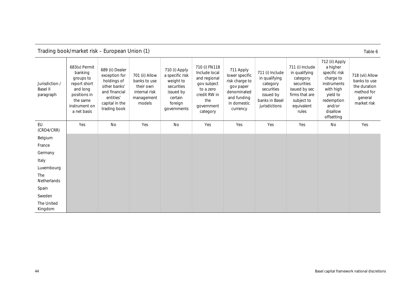<span id="page-47-0"></span>

| Jurisdiction /<br><b>Basel II</b><br>paragraph | 683(v) Permit<br>banking<br>groups to<br>report short<br>and long<br>positions in<br>the same<br>instrument on<br>a net basis | 689 (ii) Dealer<br>exception for<br>holdings of<br>other banks'<br>and financial<br>entities'<br>capital in the<br>trading book | 701 (ii) Allow<br>banks to use<br>their own<br>internal risk<br>management<br>models | 710 (i) Apply<br>a specific risk<br>weight to<br>securities<br>issued by<br>certain<br>foreign<br>governments | 710 (i) FN118<br>Include local<br>and regional<br>gov subject<br>to a zero<br>credit RW in<br>the<br>government<br>category | 711 Apply<br>lower specific<br>risk charge to<br>gov paper<br>denominated<br>and funding<br>in domestic<br>currency | 711 (i) Include<br>in qualifying<br>category<br>securities<br>issued by<br>banks in Basel<br>jurisdictions | 711 (i) Include<br>in qualifying<br>category<br>securities<br>issued by sec<br>firms that are<br>subject to<br>equivalent<br>rules | 712 (ii) Apply<br>a higher<br>specific risk<br>charge to<br>instruments<br>with high<br>yield to<br>redemption<br>and/or<br>disallow<br>offsetting | 718 (vii) Allow<br>banks to use<br>the duration<br>method for<br>general<br>market risk |
|------------------------------------------------|-------------------------------------------------------------------------------------------------------------------------------|---------------------------------------------------------------------------------------------------------------------------------|--------------------------------------------------------------------------------------|---------------------------------------------------------------------------------------------------------------|-----------------------------------------------------------------------------------------------------------------------------|---------------------------------------------------------------------------------------------------------------------|------------------------------------------------------------------------------------------------------------|------------------------------------------------------------------------------------------------------------------------------------|----------------------------------------------------------------------------------------------------------------------------------------------------|-----------------------------------------------------------------------------------------|
| EU<br>(CRD4/CRR)                               | Yes                                                                                                                           | No                                                                                                                              | Yes                                                                                  | No                                                                                                            | Yes                                                                                                                         | Yes                                                                                                                 | Yes                                                                                                        | Yes                                                                                                                                | No                                                                                                                                                 | Yes                                                                                     |
| Belgium                                        |                                                                                                                               |                                                                                                                                 |                                                                                      |                                                                                                               |                                                                                                                             |                                                                                                                     |                                                                                                            |                                                                                                                                    |                                                                                                                                                    |                                                                                         |
| France                                         |                                                                                                                               |                                                                                                                                 |                                                                                      |                                                                                                               |                                                                                                                             |                                                                                                                     |                                                                                                            |                                                                                                                                    |                                                                                                                                                    |                                                                                         |
| Germany                                        |                                                                                                                               |                                                                                                                                 |                                                                                      |                                                                                                               |                                                                                                                             |                                                                                                                     |                                                                                                            |                                                                                                                                    |                                                                                                                                                    |                                                                                         |
| Italy                                          |                                                                                                                               |                                                                                                                                 |                                                                                      |                                                                                                               |                                                                                                                             |                                                                                                                     |                                                                                                            |                                                                                                                                    |                                                                                                                                                    |                                                                                         |
| Luxembourg                                     |                                                                                                                               |                                                                                                                                 |                                                                                      |                                                                                                               |                                                                                                                             |                                                                                                                     |                                                                                                            |                                                                                                                                    |                                                                                                                                                    |                                                                                         |
| The<br>Netherlands                             |                                                                                                                               |                                                                                                                                 |                                                                                      |                                                                                                               |                                                                                                                             |                                                                                                                     |                                                                                                            |                                                                                                                                    |                                                                                                                                                    |                                                                                         |
| Spain                                          |                                                                                                                               |                                                                                                                                 |                                                                                      |                                                                                                               |                                                                                                                             |                                                                                                                     |                                                                                                            |                                                                                                                                    |                                                                                                                                                    |                                                                                         |
| Sweden                                         |                                                                                                                               |                                                                                                                                 |                                                                                      |                                                                                                               |                                                                                                                             |                                                                                                                     |                                                                                                            |                                                                                                                                    |                                                                                                                                                    |                                                                                         |
| The United<br>Kingdom                          |                                                                                                                               |                                                                                                                                 |                                                                                      |                                                                                                               |                                                                                                                             |                                                                                                                     |                                                                                                            |                                                                                                                                    |                                                                                                                                                    |                                                                                         |

Trading book/market risk – European Union (1) Table 6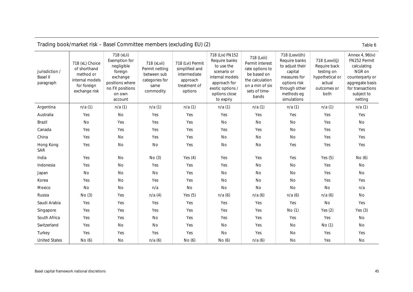<span id="page-48-0"></span>

| Trading book/market risk – Basel Committee members (excluding EU) (2)<br>Table 6 |                                                                                                 |                                                                                                                             |                                                                                     |                                                                                           |                                                                                                                                                    |                                                                                                                                  |                                                                                                                                             |                                                                                                  |                                                                                                                                             |
|----------------------------------------------------------------------------------|-------------------------------------------------------------------------------------------------|-----------------------------------------------------------------------------------------------------------------------------|-------------------------------------------------------------------------------------|-------------------------------------------------------------------------------------------|----------------------------------------------------------------------------------------------------------------------------------------------------|----------------------------------------------------------------------------------------------------------------------------------|---------------------------------------------------------------------------------------------------------------------------------------------|--------------------------------------------------------------------------------------------------|---------------------------------------------------------------------------------------------------------------------------------------------|
| Jurisdiction /<br><b>Basel II</b><br>paragraph                                   | 718 (xL) Choice<br>of shorthand<br>method or<br>internal models<br>for foreign<br>exchange risk | 718 (xLii)<br>Exemption for<br>negligible<br>foreign<br>exchange<br>positions where<br>no FX positions<br>on own<br>account | 718 (xLvii)<br>Permit netting<br>between sub<br>categories for<br>same<br>commodity | 718 (Lvi) Permit<br>simplified and<br>intermediate<br>approach<br>treatment of<br>options | 718 (Lix) FN152<br>Require banks<br>to use the<br>scenario or<br>internal models<br>approach for<br>exotic options /<br>options close<br>to expiry | 718 (Lxiii)<br>Permit interest<br>rate options to<br>be based on<br>the calculation<br>on a min of six<br>sets of time-<br>bands | 718 (Lxxvi)(h)<br>Require banks<br>to adjust their<br>capital<br>measures for<br>options risk<br>through other<br>methods eg<br>simulations | 718 (Lxxvi)(j)<br>Require back<br>testing on<br>hypothetical or<br>actual<br>outcomes or<br>both | Annex 4, 96(iv)<br>FN252 Permit<br>calculating<br>NGR on<br>counterparty or<br>aggregate basis<br>for transactions<br>subject to<br>netting |
| Argentina                                                                        | n/a(1)                                                                                          | n/a(1)                                                                                                                      | n/a(1)                                                                              | n/a(1)                                                                                    | n/a(1)                                                                                                                                             | n/a(1)                                                                                                                           | n/a(1)                                                                                                                                      | n/a(1)                                                                                           | n/a(1)                                                                                                                                      |
| Australia                                                                        | Yes                                                                                             | No                                                                                                                          | Yes                                                                                 | Yes                                                                                       | Yes                                                                                                                                                | Yes                                                                                                                              | Yes                                                                                                                                         | Yes                                                                                              | Yes                                                                                                                                         |
| Brazil                                                                           | <b>No</b>                                                                                       | Yes                                                                                                                         | Yes                                                                                 | Yes                                                                                       | No                                                                                                                                                 | No                                                                                                                               | No                                                                                                                                          | Yes                                                                                              | No                                                                                                                                          |
| Canada                                                                           | Yes                                                                                             | Yes                                                                                                                         | Yes                                                                                 | Yes                                                                                       | Yes                                                                                                                                                | Yes                                                                                                                              | No                                                                                                                                          | Yes                                                                                              | Yes                                                                                                                                         |
| China                                                                            | Yes                                                                                             | No                                                                                                                          | Yes                                                                                 | Yes                                                                                       | No                                                                                                                                                 | No                                                                                                                               | No                                                                                                                                          | Yes                                                                                              | Yes                                                                                                                                         |
| Hong Kong<br>SAR                                                                 | Yes                                                                                             | No                                                                                                                          | No                                                                                  | Yes                                                                                       | No                                                                                                                                                 | No                                                                                                                               | Yes                                                                                                                                         | Yes                                                                                              | Yes                                                                                                                                         |
| India                                                                            | Yes                                                                                             | No                                                                                                                          | No(3)                                                                               | Yes $(4)$                                                                                 | Yes                                                                                                                                                | Yes                                                                                                                              | Yes                                                                                                                                         | Yes $(5)$                                                                                        | No(6)                                                                                                                                       |
| Indonesia                                                                        | Yes                                                                                             | No                                                                                                                          | Yes                                                                                 | Yes                                                                                       | Yes                                                                                                                                                | No                                                                                                                               | No                                                                                                                                          | Yes                                                                                              | No                                                                                                                                          |
| Japan                                                                            | <b>No</b>                                                                                       | No                                                                                                                          | No                                                                                  | Yes                                                                                       | No                                                                                                                                                 | No                                                                                                                               | No                                                                                                                                          | Yes                                                                                              | No                                                                                                                                          |
| Korea                                                                            | Yes                                                                                             | No                                                                                                                          | Yes                                                                                 | Yes                                                                                       | <b>No</b>                                                                                                                                          | No                                                                                                                               | No                                                                                                                                          | Yes                                                                                              | Yes                                                                                                                                         |
| Mexico                                                                           | No                                                                                              | No                                                                                                                          | n/a                                                                                 | No                                                                                        | No                                                                                                                                                 | No                                                                                                                               | No                                                                                                                                          | No                                                                                               | n/a                                                                                                                                         |
| Russia                                                                           | No(3)                                                                                           | Yes                                                                                                                         | n/a(4)                                                                              | Yes $(5)$                                                                                 | n/a(6)                                                                                                                                             | n/a(6)                                                                                                                           | n/a(6)                                                                                                                                      | n/a(6)                                                                                           | No                                                                                                                                          |
| Saudi Arabia                                                                     | Yes                                                                                             | Yes                                                                                                                         | Yes                                                                                 | Yes                                                                                       | Yes                                                                                                                                                | Yes                                                                                                                              | Yes                                                                                                                                         | No                                                                                               | Yes                                                                                                                                         |
| Singapore                                                                        | Yes                                                                                             | Yes                                                                                                                         | Yes                                                                                 | Yes                                                                                       | Yes                                                                                                                                                | Yes                                                                                                                              | No(1)                                                                                                                                       | Yes $(2)$                                                                                        | Yes $(3)$                                                                                                                                   |
| South Africa                                                                     | Yes                                                                                             | Yes                                                                                                                         | No                                                                                  | Yes                                                                                       | Yes                                                                                                                                                | Yes                                                                                                                              | Yes                                                                                                                                         | Yes                                                                                              | No                                                                                                                                          |
| Switzerland                                                                      | Yes                                                                                             | No                                                                                                                          | No                                                                                  | Yes                                                                                       | No                                                                                                                                                 | Yes                                                                                                                              | No                                                                                                                                          | No (1)                                                                                           | No                                                                                                                                          |
| Turkey                                                                           | Yes                                                                                             | Yes                                                                                                                         | Yes                                                                                 | Yes                                                                                       | No                                                                                                                                                 | Yes                                                                                                                              | $\rm No$                                                                                                                                    | Yes                                                                                              | Yes                                                                                                                                         |
| <b>United States</b>                                                             | No(6)                                                                                           | No                                                                                                                          | n/a(6)                                                                              | No(6)                                                                                     | No (6)                                                                                                                                             | n/a(6)                                                                                                                           | No                                                                                                                                          | Yes                                                                                              | No                                                                                                                                          |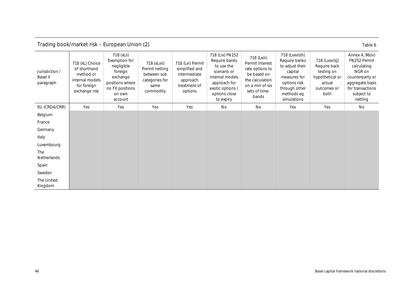<span id="page-49-0"></span>

| Trading book/market risk - European Union (2)<br>Table 6 |                                                                                                 |                                                                                                                             |                                                                                     |                                                                                           |                                                                                                                                                    |                                                                                                                                  |                                                                                                                                             |                                                                                                  |                                                                                                                                             |
|----------------------------------------------------------|-------------------------------------------------------------------------------------------------|-----------------------------------------------------------------------------------------------------------------------------|-------------------------------------------------------------------------------------|-------------------------------------------------------------------------------------------|----------------------------------------------------------------------------------------------------------------------------------------------------|----------------------------------------------------------------------------------------------------------------------------------|---------------------------------------------------------------------------------------------------------------------------------------------|--------------------------------------------------------------------------------------------------|---------------------------------------------------------------------------------------------------------------------------------------------|
| Jurisdiction /<br>Basel II<br>paragraph                  | 718 (xL) Choice<br>of shorthand<br>method or<br>internal models<br>for foreign<br>exchange risk | 718 (xLii)<br>Exemption for<br>negligible<br>foreign<br>exchange<br>positions where<br>no FX positions<br>on own<br>account | 718 (xLvii)<br>Permit netting<br>between sub<br>categories for<br>same<br>commodity | 718 (Lvi) Permit<br>simplified and<br>intermediate<br>approach<br>treatment of<br>options | 718 (Lix) FN152<br>Require banks<br>to use the<br>scenario or<br>internal models<br>approach for<br>exotic options /<br>options close<br>to expiry | 718 (Lxiii)<br>Permit interest<br>rate options to<br>be based on<br>the calculation<br>on a min of six<br>sets of time-<br>bands | 718 (Lxxvi)(h)<br>Require banks<br>to adjust their<br>capital<br>measures for<br>options risk<br>through other<br>methods eg<br>simulations | 718 (Lxxvi)(j)<br>Require back<br>testing on<br>hypothetical or<br>actual<br>outcomes or<br>both | Annex 4, 96(iv)<br>FN252 Permit<br>calculating<br>NGR on<br>counterparty or<br>aggregate basis<br>for transactions<br>subject to<br>netting |
| EU (CRD4/CRR)                                            | Yes                                                                                             | Yes                                                                                                                         | Yes                                                                                 | Yes                                                                                       | No                                                                                                                                                 | No                                                                                                                               | Yes                                                                                                                                         | Yes                                                                                              | No                                                                                                                                          |
| Belgium                                                  |                                                                                                 |                                                                                                                             |                                                                                     |                                                                                           |                                                                                                                                                    |                                                                                                                                  |                                                                                                                                             |                                                                                                  |                                                                                                                                             |
| France                                                   |                                                                                                 |                                                                                                                             |                                                                                     |                                                                                           |                                                                                                                                                    |                                                                                                                                  |                                                                                                                                             |                                                                                                  |                                                                                                                                             |
| Germany                                                  |                                                                                                 |                                                                                                                             |                                                                                     |                                                                                           |                                                                                                                                                    |                                                                                                                                  |                                                                                                                                             |                                                                                                  |                                                                                                                                             |
| Italy                                                    |                                                                                                 |                                                                                                                             |                                                                                     |                                                                                           |                                                                                                                                                    |                                                                                                                                  |                                                                                                                                             |                                                                                                  |                                                                                                                                             |
| Luxembourg                                               |                                                                                                 |                                                                                                                             |                                                                                     |                                                                                           |                                                                                                                                                    |                                                                                                                                  |                                                                                                                                             |                                                                                                  |                                                                                                                                             |
| The<br>Netherlands                                       |                                                                                                 |                                                                                                                             |                                                                                     |                                                                                           |                                                                                                                                                    |                                                                                                                                  |                                                                                                                                             |                                                                                                  |                                                                                                                                             |
| Spain                                                    |                                                                                                 |                                                                                                                             |                                                                                     |                                                                                           |                                                                                                                                                    |                                                                                                                                  |                                                                                                                                             |                                                                                                  |                                                                                                                                             |
| Sweden                                                   |                                                                                                 |                                                                                                                             |                                                                                     |                                                                                           |                                                                                                                                                    |                                                                                                                                  |                                                                                                                                             |                                                                                                  |                                                                                                                                             |
| The United<br>Kingdom                                    |                                                                                                 |                                                                                                                             |                                                                                     |                                                                                           |                                                                                                                                                    |                                                                                                                                  |                                                                                                                                             |                                                                                                  |                                                                                                                                             |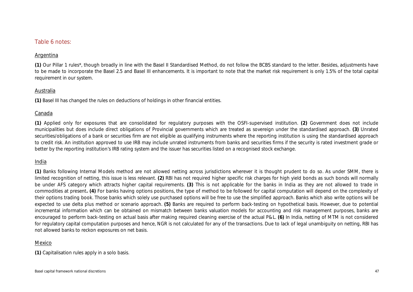### Table 6 notes:

### Argentina

**(1)** Our Pillar 1 rules\*, though broadly in line with the Basel II Standardised Method, do not follow the BCBS standard to the letter. Besides, adjustments have to be made to incorporate the Basel 2.5 and Basel III enhancements. It is important to note that the market risk requirement is only 1.5% of the total capital requirement in our system.

### Australia

**(1)** Basel III has changed the rules on deductions of holdings in other financial entities.

### Canada

**(1)** Applied only for exposures that are consolidated for regulatory purposes with the OSFI-supervised institution. **(2)** Government does not include municipalities but does include direct obligations of Provincial governments which are treated as sovereign under the standardised approach. **(3)** Unrated securities/obligations of a bank or securities firm are not eligible as qualifying instruments where the reporting institution is using the standardised approach to credit risk. An institution approved to use IRB may include unrated instruments from banks and securities firms if the security is rated investment grade or better by the reporting institution's IRB rating system and the issuer has securities listed on a recognised stock exchange.

### India

**(1)** Banks following Internal Models method are not allowed netting across jurisdictions wherever it is thought prudent to do so. As under SMM, there is limited recognition of netting, this issue is less relevant. **(2)** RBI has not required higher specific risk charges for high yield bonds as such bonds will normally be under AFS category which attracts higher capital requirements. **(3)** This is not applicable for the banks in India as they are not allowed to trade in commodities at present**. (4)** For banks having options positions, the type of method to be followed for capital computation will depend on the complexity of their options trading book. Those banks which solely use purchased options will be free to use the simplified approach. Banks which also write options will be expected to use delta plus method or scenario approach. **(5)** Banks are required to perform back-testing on hypothetical basis. However, due to potential incremental information which can be obtained on mismatch between banks valuation models for accounting and risk management purposes, banks are encouraged to perform back-testing on actual basis after making required cleaning exercise of the actual P&L. **(6)** In India, netting of MTM is not considered for regulatory capital computation purposes and hence. NGR is not calculated for any of the transactions. Due to lack of legal unambiguity on netting. RBI has not allowed banks to reckon exposures on net basis.

### Mexico

**(1)** Capitalisation rules apply in a solo basis.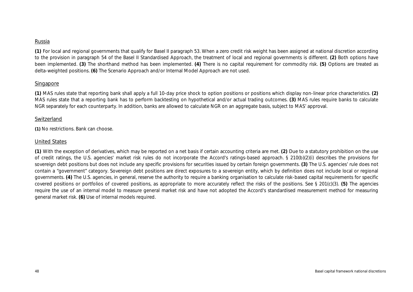### Russia

**(1)** For local and regional governments that qualify for Basel II paragraph 53. When a zero credit risk weight has been assigned at national discretion according to the provision in paragraph 54 of the Basel II Standardised Approach, the treatment of local and regional governments is different. **(2)** Both options have been implemented. **(3)** The shorthand method has been implemented. **(4)** There is no capital requirement for commodity risk. **(5)** Options are treated as delta-weighted positions. **(6)** The Scenario Approach and/or Internal Model Approach are not used.

### Singapore

**(1)** MAS rules state that reporting bank shall apply a full 10-day price shock to option positions or positions which display non-linear price characteristics. **(2)** MAS rules state that a reporting bank has to perform backtesting on hypothetical and/or actual trading outcomes. **(3)** MAS rules require banks to calculate NGR separately for each counterparty. In addition, banks are allowed to calculate NGR on an aggregate basis, subject to MAS' approval.

### Switzerland

**(1)** No restrictions. Bank can choose.

### United States

**(1)** With the exception of derivatives, which may be reported on a net basis if certain accounting criteria are met. **(2)** Due to a statutory prohibition on the use of credit ratings, the U.S. agencies' market risk rules do not incorporate the Accord's ratings-based approach. § 210(b)(2)(i) describes the provisions for sovereign debt positions but does not include any specific provisions for securities issued by certain foreign governments. **(3)** The U.S. agencies' rule does not contain a "government" category. Sovereign debt positions are direct exposures to a sovereign entity, which by definition does not include local or regional governments. **(4)** The U.S. agencies, in general, reserve the authority to require a banking organisation to calculate risk-based capital requirements for specific covered positions or portfolios of covered positions, as appropriate to more accurately reflect the risks of the positions. See § 201(c)(3). **(5)** The agencies require the use of an internal model to measure general market risk and have not adopted the Accord's standardised measurement method for measuring general market risk. **(6)** Use of internal models required.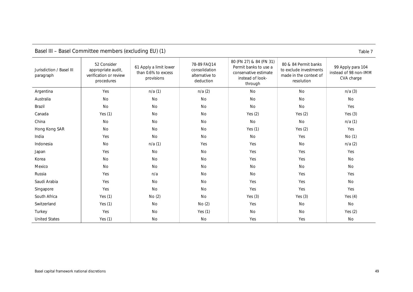<span id="page-52-0"></span>

| <b>Passi Sommittee mombers</b> (choldoing LO) (1)<br>100107 |                                                                           |                                                             |                                                             |                                                                                                          |                                                                                        |                                                          |  |  |
|-------------------------------------------------------------|---------------------------------------------------------------------------|-------------------------------------------------------------|-------------------------------------------------------------|----------------------------------------------------------------------------------------------------------|----------------------------------------------------------------------------------------|----------------------------------------------------------|--|--|
| Jurisdiction / Basel III<br>paragraph                       | 52 Consider<br>appropriate audit,<br>verification or review<br>procedures | 61 Apply a limit lower<br>than 0.6% to excess<br>provisions | 78-89 FAQ14<br>consolidation<br>alternative to<br>deduction | 80 (FN 27) & 84 (FN 31)<br>Permit banks to use a<br>conservative estimate<br>instead of look-<br>through | 80 & 84 Permit banks<br>to exclude investments<br>made in the context of<br>resolution | 99 Apply para 104<br>instead of 98 non-IMM<br>CVA charge |  |  |
| Argentina                                                   | Yes                                                                       | n/a(1)                                                      | n/a(2)                                                      | <b>No</b>                                                                                                | <b>No</b>                                                                              | n/a(3)                                                   |  |  |
| Australia                                                   | No                                                                        | No                                                          | No                                                          | No                                                                                                       | <b>No</b>                                                                              | No                                                       |  |  |
| Brazil                                                      | No                                                                        | No                                                          | No                                                          | No                                                                                                       | No                                                                                     | Yes                                                      |  |  |
| Canada                                                      | Yes $(1)$                                                                 | No                                                          | No                                                          | Yes $(2)$                                                                                                | Yes $(2)$                                                                              | Yes $(3)$                                                |  |  |
| China                                                       | <b>No</b>                                                                 | No                                                          | No                                                          | No                                                                                                       | No                                                                                     | n/a(1)                                                   |  |  |
| Hong Kong SAR                                               | <b>No</b>                                                                 | No                                                          | No                                                          | Yes $(1)$                                                                                                | Yes $(2)$                                                                              | Yes                                                      |  |  |
| India                                                       | Yes                                                                       | No                                                          | No                                                          | <b>No</b>                                                                                                | Yes                                                                                    | No (1)                                                   |  |  |
| Indonesia                                                   | <b>No</b>                                                                 | n/a(1)                                                      | Yes                                                         | Yes                                                                                                      | No                                                                                     | n/a(2)                                                   |  |  |
| Japan                                                       | Yes                                                                       | No                                                          | No                                                          | Yes                                                                                                      | Yes                                                                                    | Yes                                                      |  |  |
| Korea                                                       | <b>No</b>                                                                 | No                                                          | No                                                          | Yes                                                                                                      | Yes                                                                                    | No                                                       |  |  |
| Mexico                                                      | <b>No</b>                                                                 | No                                                          | No                                                          | No                                                                                                       | No                                                                                     | No                                                       |  |  |
| Russia                                                      | Yes                                                                       | n/a                                                         | No                                                          | No                                                                                                       | Yes                                                                                    | Yes                                                      |  |  |
| Saudi Arabia                                                | Yes                                                                       | No                                                          | No                                                          | Yes                                                                                                      | Yes                                                                                    | No                                                       |  |  |
| Singapore                                                   | Yes                                                                       | No                                                          | No                                                          | Yes                                                                                                      | Yes                                                                                    | Yes                                                      |  |  |
| South Africa                                                | Yes $(1)$                                                                 | No(2)                                                       | No                                                          | Yes $(3)$                                                                                                | Yes $(3)$                                                                              | Yes $(4)$                                                |  |  |
| Switzerland                                                 | Yes $(1)$                                                                 | No                                                          | No (2)                                                      | Yes                                                                                                      | No                                                                                     | No                                                       |  |  |
| Turkey                                                      | Yes                                                                       | No                                                          | Yes $(1)$                                                   | No                                                                                                       | No                                                                                     | Yes $(2)$                                                |  |  |
| <b>United States</b>                                        | Yes $(1)$                                                                 | No                                                          | No                                                          | Yes                                                                                                      | Yes                                                                                    | No                                                       |  |  |

### Basel III – Basel Committee members (excluding EU) (1) Table 7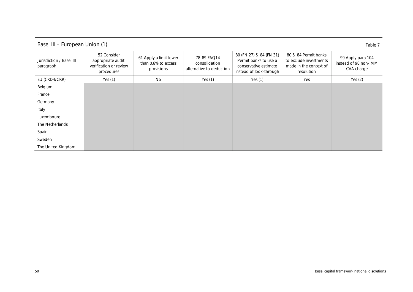<span id="page-53-0"></span>

| Basel III - European Union (1)<br>Table 7 |                                                                           |                                                             |                                                          |                                                                                                      |                                                                                        |                                                          |  |  |  |
|-------------------------------------------|---------------------------------------------------------------------------|-------------------------------------------------------------|----------------------------------------------------------|------------------------------------------------------------------------------------------------------|----------------------------------------------------------------------------------------|----------------------------------------------------------|--|--|--|
| Jurisdiction / Basel III<br>paragraph     | 52 Consider<br>appropriate audit,<br>verification or review<br>procedures | 61 Apply a limit lower<br>than 0.6% to excess<br>provisions | 78-89 FAQ14<br>consolidation<br>alternative to deduction | 80 (FN 27) & 84 (FN 31)<br>Permit banks to use a<br>conservative estimate<br>instead of look-through | 80 & 84 Permit banks<br>to exclude investments<br>made in the context of<br>resolution | 99 Apply para 104<br>instead of 98 non-IMM<br>CVA charge |  |  |  |
| EU (CRD4/CRR)                             | Yes $(1)$                                                                 | No                                                          | Yes $(1)$                                                | Yes $(1)$                                                                                            | Yes                                                                                    | Yes $(2)$                                                |  |  |  |
| Belgium                                   |                                                                           |                                                             |                                                          |                                                                                                      |                                                                                        |                                                          |  |  |  |
| France                                    |                                                                           |                                                             |                                                          |                                                                                                      |                                                                                        |                                                          |  |  |  |
| Germany                                   |                                                                           |                                                             |                                                          |                                                                                                      |                                                                                        |                                                          |  |  |  |
| Italy                                     |                                                                           |                                                             |                                                          |                                                                                                      |                                                                                        |                                                          |  |  |  |
| Luxembourg                                |                                                                           |                                                             |                                                          |                                                                                                      |                                                                                        |                                                          |  |  |  |
| The Netherlands                           |                                                                           |                                                             |                                                          |                                                                                                      |                                                                                        |                                                          |  |  |  |
| Spain                                     |                                                                           |                                                             |                                                          |                                                                                                      |                                                                                        |                                                          |  |  |  |
| Sweden                                    |                                                                           |                                                             |                                                          |                                                                                                      |                                                                                        |                                                          |  |  |  |
| The United Kingdom                        |                                                                           |                                                             |                                                          |                                                                                                      |                                                                                        |                                                          |  |  |  |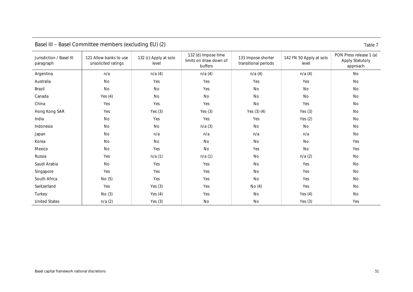<span id="page-54-0"></span>

| Basel III – Basel Commutee members (excluding EU) (2)<br>Table 7 |                                               |                                |                                                          |                                            |                                  |                                                               |  |  |  |
|------------------------------------------------------------------|-----------------------------------------------|--------------------------------|----------------------------------------------------------|--------------------------------------------|----------------------------------|---------------------------------------------------------------|--|--|--|
| Jurisdiction / Basel III<br>paragraph                            | 121 Allow banks to use<br>unsolicited ratings | 132 (c) Apply at solo<br>level | 132 (d) Impose time<br>limits on draw down of<br>buffers | 133 Impose shorter<br>transitional periods | 142 FN 50 Apply at solo<br>level | PON Press release 1 (a)<br><b>Apply Statutory</b><br>approach |  |  |  |
| Argentina                                                        | n/a                                           | n/a(4)                         | n/a(4)                                                   | n/a(4)                                     | n/a(4)                           | No                                                            |  |  |  |
| Australia                                                        | No                                            | Yes                            | Yes                                                      | Yes                                        | Yes                              | No                                                            |  |  |  |
| Brazil                                                           | No                                            | No                             | Yes                                                      | No                                         | No                               | No                                                            |  |  |  |
| Canada                                                           | Yes $(4)$                                     | No                             | No                                                       | <b>No</b>                                  | No                               | No                                                            |  |  |  |
| China                                                            | Yes                                           | Yes                            | Yes                                                      | No                                         | Yes                              | No                                                            |  |  |  |
| Hong Kong SAR                                                    | Yes                                           | Yes $(3)$                      | Yes $(3)$                                                | Yes $(3)$ $(4)$                            | Yes $(3)$                        | No                                                            |  |  |  |
| India                                                            | No                                            | Yes                            | Yes                                                      | Yes                                        | Yes $(2)$                        | No                                                            |  |  |  |
| Indonesia                                                        | No                                            | No                             | n/a(3)                                                   | No                                         | No                               | No                                                            |  |  |  |
| Japan                                                            | No                                            | n/a                            | n/a                                                      | n/a                                        | n/a                              | No                                                            |  |  |  |
| Korea                                                            | No                                            | No                             | No                                                       | No                                         | No                               | Yes                                                           |  |  |  |
| Mexico                                                           | No                                            | Yes                            | No                                                       | Yes                                        | No                               | Yes                                                           |  |  |  |
| Russia                                                           | Yes                                           | n/a(1)                         | n/a(1)                                                   | <b>No</b>                                  | n/a(2)                           | No                                                            |  |  |  |
| Saudi Arabia                                                     | No                                            | Yes                            | Yes                                                      | No                                         | Yes                              | No                                                            |  |  |  |
| Singapore                                                        | Yes                                           | Yes                            | Yes                                                      | No                                         | Yes                              | No                                                            |  |  |  |
| South Africa                                                     | No(5)                                         | Yes                            | Yes                                                      | No                                         | Yes                              | No                                                            |  |  |  |
| Switzerland                                                      | Yes                                           | Yes $(3)$                      | Yes                                                      | No(4)                                      | Yes                              | No                                                            |  |  |  |
| Turkey                                                           | No(3)                                         | Yes $(4)$                      | Yes                                                      | No                                         | Yes $(4)$                        | No                                                            |  |  |  |
| <b>United States</b>                                             | n/a(2)                                        | Yes $(3)$                      | No                                                       | No                                         | Yes $(3)$                        | Yes                                                           |  |  |  |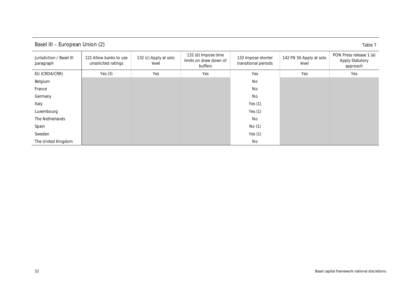<span id="page-55-0"></span>

| Basel III – European Union (2)<br>Table 7 |                                               |                                |                                                          |                                            |                                  |                                                               |  |  |  |
|-------------------------------------------|-----------------------------------------------|--------------------------------|----------------------------------------------------------|--------------------------------------------|----------------------------------|---------------------------------------------------------------|--|--|--|
| Jurisdiction / Basel III<br>paragraph     | 121 Allow banks to use<br>unsolicited ratings | 132 (c) Apply at solo<br>level | 132 (d) Impose time<br>limits on draw down of<br>buffers | 133 Impose shorter<br>transitional periods | 142 FN 50 Apply at solo<br>level | PON Press release 1 (a)<br><b>Apply Statutory</b><br>approach |  |  |  |
| EU (CRD4/CRR)                             | Yes $(3)$                                     | Yes                            | Yes                                                      | Yes                                        | Yes                              | Yes                                                           |  |  |  |
| Belgium                                   |                                               |                                |                                                          | No                                         |                                  |                                                               |  |  |  |
| France                                    |                                               |                                |                                                          | No                                         |                                  |                                                               |  |  |  |
| Germany                                   |                                               |                                |                                                          | No                                         |                                  |                                                               |  |  |  |
| Italy                                     |                                               |                                |                                                          | Yes $(1)$                                  |                                  |                                                               |  |  |  |
| Luxembourg                                |                                               |                                |                                                          | Yes $(1)$                                  |                                  |                                                               |  |  |  |
| The Netherlands                           |                                               |                                |                                                          | No                                         |                                  |                                                               |  |  |  |
| Spain                                     |                                               |                                |                                                          | No(1)                                      |                                  |                                                               |  |  |  |
| Sweden                                    |                                               |                                |                                                          | Yes $(1)$                                  |                                  |                                                               |  |  |  |
| The United Kingdom                        |                                               |                                |                                                          | No                                         |                                  |                                                               |  |  |  |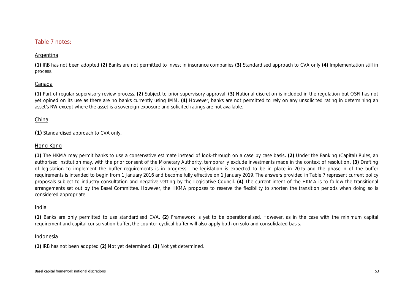### Table 7 notes:

### Argentina

**(1)** IRB has not been adopted **(2)** Banks are not permitted to invest in insurance companies **(3)** Standardised approach to CVA only **(4)** Implementation still in process.

### Canada

**(1)** Part of regular supervisory review process. **(2)** Subject to prior supervisory approval. **(3)** National discretion is included in the regulation but OSFI has not yet opined on its use as there are no banks currently using IMM. **(4)** However, banks are not permitted to rely on any unsolicited rating in determining an asset's RW except where the asset is a sovereign exposure and solicited ratings are not available.

### China

**(1)** Standardised approach to CVA only.

### Hong Kong

**(1)** The HKMA may permit banks to use a conservative estimate instead of look-through on a case by case basis**. (2)** Under the Banking (Capital) Rules, an authorised institution may, with the prior consent of the Monetary Authority, temporarily exclude investments made in the context of resolution**. (3)** Drafting of legislation to implement the buffer requirements is in progress. The legislation is expected to be in place in 2015 and the phase-in of the buffer requirements is intended to begin from 1 January 2016 and become fully effective on 1 January 2019. The answers provided in Table 7 represent current policy proposals subject to industry consultation and negative vetting by the Legislative Council. **(4)** The current intent of the HKMA is to follow the transitional arrangements set out by the Basel Committee. However, the HKMA proposes to reserve the flexibility to shorten the transition periods when doing so is considered appropriate.

### India

**(1)** Banks are only permitted to use standardised CVA. **(2)** Framework is yet to be operationalised. However, as in the case with the minimum capital requirement and capital conservation buffer, the counter-cyclical buffer will also apply both on solo and consolidated basis.

### Indonesia

**(1)** IRB has not been adopted **(2)** Not yet determined. **(3)** Not yet determined.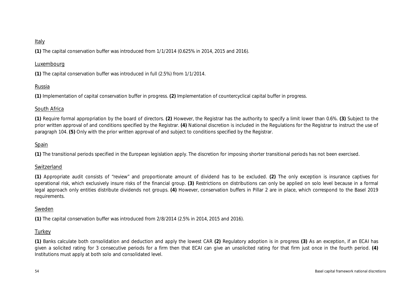### Italy

**(1)** The capital conservation buffer was introduced from 1/1/2014 (0.625% in 2014, 2015 and 2016).

### Luxembourg

**(1)** The capital conservation buffer was introduced in full (2.5%) from 1/1/2014.

### Russia

**(1)** Implementation of capital conservation buffer in progress. **(2)** Implementation of countercyclical capital buffer in progress.

### South Africa

**(1)** Require formal appropriation by the board of directors. **(2)** However, the Registrar has the authority to specify a limit lower than 0.6%. **(3)** Subject to the prior written approval of and conditions specified by the Registrar. **(4)** National discretion is included in the Regulations for the Registrar to instruct the use of paragraph 104. **(5)** Only with the prior written approval of and subject to conditions specified by the Registrar.

### Spain

**(1)** The transitional periods specified in the European legislation apply. The discretion for imposing shorter transitional periods has not been exercised.

### Switzerland

**(1)** Appropriate audit consists of "review" and proportionate amount of dividend has to be excluded. **(2)** The only exception is insurance captives for operational risk, which exclusively insure risks of the financial group. **(3)** Restrictions on distributions can only be applied on solo level because in a formal legal approach only entities distribute dividends not groups. **(4)** However, conservation buffers in Pillar 2 are in place, which correspond to the Basel 2019 requirements.

### Sweden

**(1)** The capital conservation buffer was introduced from 2/8/2014 (2.5% in 2014, 2015 and 2016).

### **Turkey**

**(1)** Banks calculate both consolidation and deduction and apply the lowest CAR **(2)** Regulatory adoption is in progress **(3)** As an exception, if an ECAI has given a solicited rating for 3 consecutive periods for a firm then that ECAI can give an unsolicited rating for that firm just once in the fourth period. **(4)** Institutions must apply at both solo and consolidated level.